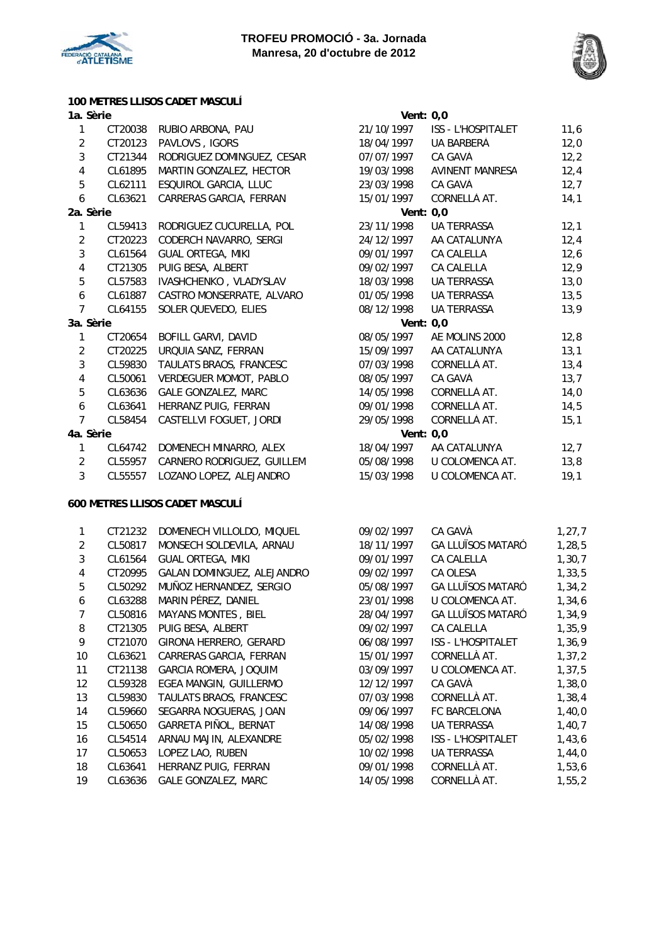



## **100 METRES LLISOS CADET MASCULÍ**

#### 1a. Sèrie

| 1                | CT20038 | RUBIO ARBONA, PAU             | 21/10/1997 | ISS - L'HOSPITALET     | 11,6 |
|------------------|---------|-------------------------------|------------|------------------------|------|
| $\overline{2}$   | CT20123 | PAVLOVS, IGORS                | 18/04/1997 | UA BARBERÀ             | 12,0 |
| $\mathbf{3}$     | CT21344 | RODRIGUEZ DOMINGUEZ, CESAR    | 07/07/1997 | CA GAVÀ                | 12,2 |
| $\overline{4}$   | CL61895 | MARTIN GONZALEZ, HECTOR       | 19/03/1998 | <b>AVINENT MANRESA</b> | 12,4 |
| 5                | CL62111 | ESQUIROL GARCIA, LLUC         | 23/03/1998 | CA GAVÀ                | 12,7 |
| 6                | CL63621 | CARRERAS GARCIA, FERRAN       | 15/01/1997 | CORNELLÀ AT.           | 14,1 |
| 2a. Sèrie        |         |                               |            | Vent: $0,0$            |      |
| 1                | CL59413 | RODRIGUEZ CUCURELLA, POL      | 23/11/1998 | <b>UA TERRASSA</b>     | 12,1 |
| $\overline{2}$   | CT20223 | CODERCH NAVARRO, SERGI        | 24/12/1997 | AA CATALUNYA           | 12,4 |
| $\mathfrak{Z}$   | CL61564 | <b>GUAL ORTEGA, MIKI</b>      | 09/01/1997 | CA CALELLA             | 12,6 |
| $\overline{4}$   | CT21305 | PUIG BESA, ALBERT             | 09/02/1997 | <b>CA CALELLA</b>      | 12,9 |
| 5                | CL57583 | IVASHCHENKO, VLADYSLAV        | 18/03/1998 | UA TERRASSA            | 13,0 |
| $\boldsymbol{6}$ | CL61887 | CASTRO MONSERRATE, ALVARO     | 01/05/1998 | <b>UA TERRASSA</b>     | 13,5 |
| $\overline{7}$   | CL64155 | SOLER QUEVEDO, ELIES          | 08/12/1998 | <b>UA TERRASSA</b>     | 13,9 |
| 3a. Sèrie        |         |                               |            | Vent: $0,0$            |      |
| 1                | CT20654 | BOFILL GARVI, DAVID           | 08/05/1997 | AE MOLINS 2000         | 12,8 |
| $\overline{2}$   | CT20225 | URQUIA SANZ, FERRAN           | 15/09/1997 | AA CATALUNYA           | 13,1 |
| $\mathbf{3}$     | CL59830 | TAULATS BRAOS, FRANCESC       | 07/03/1998 | CORNELLÀ AT.           | 13,4 |
| $\overline{4}$   | CL50061 | <b>VERDEGUER MOMOT, PABLO</b> | 08/05/1997 | CA GAVÀ                | 13,7 |
| 5                | CL63636 | <b>GALE GONZALEZ, MARC</b>    | 14/05/1998 | CORNELLÀ AT.           | 14,0 |
| 6                | CL63641 | HERRANZ PUIG, FERRAN          | 09/01/1998 | CORNELLÀ AT.           | 14,5 |
| $\overline{7}$   | CL58454 | CASTELLVI FOGUET, JORDI       | 29/05/1998 | CORNELLÀ AT.           | 15,1 |
| 4a. Sèrie        |         |                               |            | Vent: $0,0$            |      |
| $\mathbf{1}$     | CL64742 | DOMENECH MINARRO, ALEX        | 18/04/1997 | AA CATALUNYA           | 12,7 |
| $\overline{2}$   | CL55957 | CARNERO RODRIGUEZ, GUILLEM    | 05/08/1998 | U COLOMENCA AT.        | 13,8 |
|                  |         |                               |            |                        |      |

3 CL55557 LOZANO LOPEZ, ALEJANDRO 15/03/1998 U COLOMENCA AT. 19,1

#### **600 METRES LLISOS CADET MASCULÍ**

|                   | CT21232 | DOMENECH VILLOLDO, MIQUEL  | 09/02/1997 | CA GAVÀ                   | 1, 27, 7 |
|-------------------|---------|----------------------------|------------|---------------------------|----------|
| 2                 | CL50817 | MONSECH SOLDEVILA, ARNAU   | 18/11/1997 | <b>GA LLUÏSOS MATARÓ</b>  | 1,28,5   |
| 3                 | CL61564 | <b>GUAL ORTEGA, MIKI</b>   | 09/01/1997 | CA CALELLA                | 1,30,7   |
| 4                 | CT20995 | GALAN DOMINGUEZ, ALEJANDRO | 09/02/1997 | CA OLESA                  | 1,33,5   |
| 5                 | CL50292 | MUÑOZ HERNANDEZ, SERGIO    | 05/08/1997 | <b>GA LLUÏSOS MATARÓ</b>  | 1,34,2   |
| 6                 | CL63288 | MARIN PÉREZ, DANIEL        | 23/01/1998 | U COLOMENCA AT.           | 1,34,6   |
| 7                 | CL50816 | <b>MAYANS MONTES, BIEL</b> | 28/04/1997 | <b>GA LLUÏSOS MATARÓ</b>  | 1,34,9   |
| 8                 | CT21305 | PUIG BESA, ALBERT          | 09/02/1997 | <b>CA CALELLA</b>         | 1,35,9   |
| 9                 | CT21070 | GIRONA HERRERO, GERARD     | 06/08/1997 | <b>ISS - L'HOSPITALET</b> | 1,36,9   |
| 10                | CL63621 | CARRERAS GARCIA, FERRAN    | 15/01/1997 | CORNELLÀ AT.              | 1, 37, 2 |
| 11                | CT21138 | GARCIA ROMERA, JOQUIM      | 03/09/1997 | U COLOMENCA AT.           | 1,37,5   |
| $12 \overline{ }$ | CL59328 | EGEA MANGIN, GUILLERMO     | 12/12/1997 | CA GAVÀ                   | 1,38,0   |
| 13                | CL59830 | TAULATS BRAOS, FRANCESC    | 07/03/1998 | CORNELLÀ AT.              | 1,38,4   |
| 14                | CL59660 | SEGARRA NOGUERAS, JOAN     | 09/06/1997 | FC BARCELONA              | 1,40,0   |
| 15                | CL50650 | GARRETA PIÑOL, BERNAT      | 14/08/1998 | UA TERRASSA               | 1,40,7   |
| 16                | CL54514 | ARNAU MAJIN, ALEXANDRE     | 05/02/1998 | <b>ISS - L'HOSPITALET</b> | 1,43,6   |
| 17                | CL50653 | LOPEZ LAO, RUBEN           | 10/02/1998 | <b>UA TERRASSA</b>        | 1,44,0   |
| 18                | CL63641 | HERRANZ PUIG, FERRAN       | 09/01/1998 | CORNELLÀ AT.              | 1,53,6   |
| 19                | CL63636 | <b>GALE GONZALEZ, MARC</b> | 14/05/1998 | CORNELLÀ AT.              | 1, 55, 2 |

| Vent: 0,0    |                           |      |
|--------------|---------------------------|------|
| 21/10/1997   | <b>ISS - L'HOSPITALET</b> | 11,6 |
| 18/04/1997   | UA BARBERÀ                | 12,0 |
| 07/07/1997   | CA GAVÀ                   | 12,2 |
| 19/03/1998   | <b>AVINENT MANRESA</b>    | 12,4 |
| 23/03/1998   | CA GAVÀ                   | 12,7 |
| 15/01/1997   | CORNELLÀ AT.              | 14,1 |
| Vent:        | 0,0                       |      |
| 23/11/1998   | <b>UA TERRASSA</b>        | 12,1 |
| 24/12/1997   | AA CATALUNYA              | 12,4 |
| 09/01/1997   | <b>CA CALELLA</b>         | 12,6 |
| 09/02/1997   | CA CALELLA                | 12,9 |
| 18/03/1998   | <b>UA TERRASSA</b>        | 13,0 |
| 01/05/1998   | <b>UA TERRASSA</b>        | 13,5 |
| 08/12/1998   | <b>UA TERRASSA</b>        | 13,9 |
| Vent: 0.0    |                           |      |
| 08/05/1997   | AE MOLINS 2000            | 12,8 |
| 15/09/1997   | AA CATALUNYA              | 13,1 |
| 07/03/1998   | CORNELLÀ AT.              | 13,4 |
| 08/05/1997   | CA GAVÀ                   | 13,7 |
| 14/05/1998   | CORNELLÀ AT.              | 14,0 |
| 09/01/1998   | CORNELLÀ AT.              | 14,5 |
| 29/05/1998   | CORNELLÀ AT.              | 15,1 |
| <b>Vent:</b> | 0,0                       |      |
| 18/04/1997   | AA CATALUNYA              | 12,7 |
| 05/08/1998   | U COLOMENCA AT.           | 13,8 |
| 15/02/1000   | LI COLOMENICA AT          | 10.1 |

| 09/02/1997 | CA GAVÀ                   | 1,27,7 |
|------------|---------------------------|--------|
| 18/11/1997 | <b>GA LLUÏSOS MATARÓ</b>  | 1,28,5 |
| 09/01/1997 | CA CAI FI I A             | 1,30,7 |
| 09/02/1997 | CA OLESA                  | 1,33,5 |
| 05/08/1997 | GA LLUÏSOS MATARÓ         | 1,34,2 |
| 23/01/1998 | U COI OMFNCA AT.          | 1,34,6 |
| 28/04/1997 | GA LI UÏSOS MATARÓ        | 1,34,9 |
| 09/02/1997 | <b>CA CALELLA</b>         | 1,35,9 |
| 06/08/1997 | ISS - I 'HOSPITAI FT      | 1,36,9 |
| 15/01/1997 | CORNELLÀ AT.              | 1,37,2 |
| 03/09/1997 | U COLOMENCA AT.           | 1,37,5 |
| 12/12/1997 | CA GAVÀ                   | 1,38,0 |
| 07/03/1998 | CORNELLÀ AT.              | 1,38,4 |
| 09/06/1997 | FC BARCELONA              | 1,40,0 |
| 14/08/1998 | UA TFRRASSA               | 1,40,7 |
| 05/02/1998 | <b>ISS - L'HOSPITALET</b> | 1,43,6 |
| 10/02/1998 | UA TERRASSA               | 1,44,0 |
| 09/01/1998 | CORNELLÀ AT.              | 1,53,6 |
| 14/05/1998 | CORNELLÀ AT.              | 1,55,2 |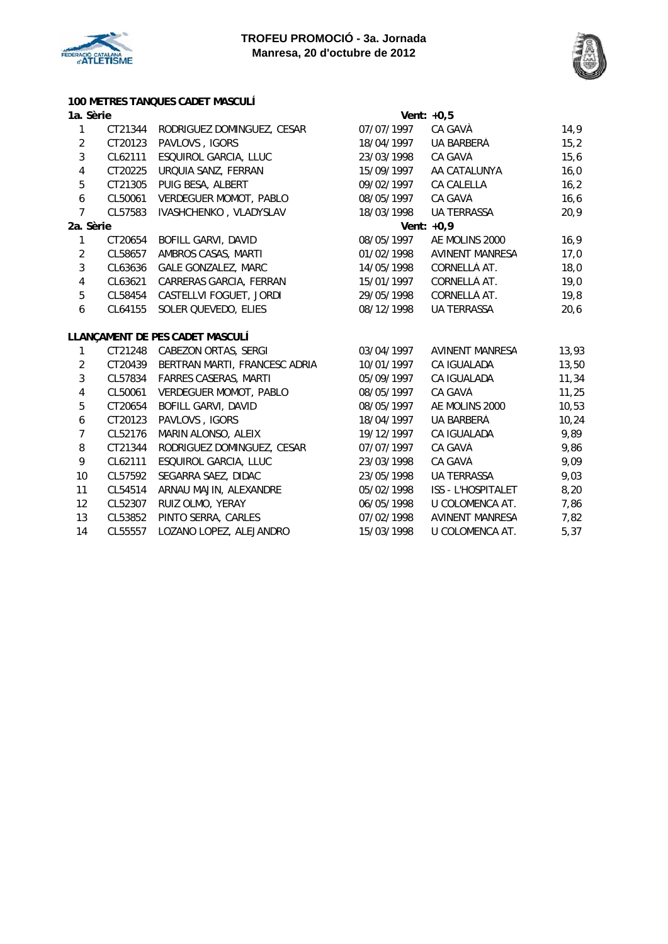



## **100 METRES TANQUES CADFT MASCULÍ**

|                         |         | TOO IVILTINES TANQUES CADET MASCULI |            |                        |       |
|-------------------------|---------|-------------------------------------|------------|------------------------|-------|
| 1a. Sèrie               |         |                                     |            | Vent: $+0,5$           |       |
| $\mathbf{1}$            | CT21344 | RODRIGUEZ DOMINGUEZ, CESAR          | 07/07/1997 | CA GAVÀ                | 14,9  |
| $\overline{2}$          | CT20123 | PAVLOVS, IGORS                      | 18/04/1997 | UA BARBERÀ             | 15,2  |
| $\mathbf{3}$            | CL62111 | ESQUIROL GARCIA, LLUC               | 23/03/1998 | CA GAVÀ                | 15,6  |
| $\pmb{4}$               | CT20225 | URQUIA SANZ, FERRAN                 | 15/09/1997 | AA CATALUNYA           | 16,0  |
| 5                       | CT21305 | PUIG BESA, ALBERT                   | 09/02/1997 | CA CALELLA             | 16,2  |
| $\boldsymbol{6}$        | CL50061 | <b>VERDEGUER MOMOT, PABLO</b>       | 08/05/1997 | CA GAVÀ                | 16, 6 |
| $\overline{7}$          | CL57583 | IVASHCHENKO, VLADYSLAV              | 18/03/1998 | <b>UA TERRASSA</b>     | 20,9  |
| 2a. Sèrie               |         |                                     |            | Vent: $+0,9$           |       |
| $\mathbf{1}$            | CT20654 | BOFILL GARVI, DAVID                 | 08/05/1997 | AE MOLINS 2000         | 16,9  |
| $\sqrt{2}$              | CL58657 | AMBROS CASAS, MARTI                 | 01/02/1998 | <b>AVINENT MANRESA</b> | 17,0  |
| $\mathfrak{Z}$          | CL63636 | <b>GALE GONZALEZ, MARC</b>          | 14/05/1998 | CORNELLÀ AT.           | 18,0  |
| $\overline{\mathbf{4}}$ | CL63621 | CARRERAS GARCIA, FERRAN             | 15/01/1997 | CORNELLÀ AT.           | 19,0  |
| 5                       | CL58454 | CASTELLVI FOGUET, JORDI             | 29/05/1998 | CORNELLÀ AT.           | 19,8  |
| $\boldsymbol{6}$        | CL64155 | SOLER QUEVEDO, ELIES                | 08/12/1998 | <b>UA TERRASSA</b>     | 20,6  |
|                         |         | LLANÇAMENT DE PES CADET MASCULÍ     |            |                        |       |
| $\mathbf{1}$            | CT21248 | CABEZON ORTAS, SERGI                | 03/04/1997 | <b>AVINENT MANRESA</b> | 13,93 |
| $\overline{2}$          | CT20439 | BERTRAN MARTI, FRANCESC ADRIA       | 10/01/1997 | CA IGUALADA            | 13,50 |
| $\mathfrak{Z}$          | CL57834 | <b>FARRES CASERAS, MARTI</b>        | 05/09/1997 | CA IGUALADA            | 11,34 |
| $\pmb{4}$               | CL50061 | VERDEGUER MOMOT, PABLO              | 08/05/1997 | CA GAVÀ                | 11,25 |
| 5                       | CT20654 | <b>BOFILL GARVI, DAVID</b>          | 08/05/1997 | AE MOLINS 2000         | 10,53 |
| $\boldsymbol{6}$        | CT20123 | PAVLOVS, IGORS                      | 18/04/1997 | UA BARBERÀ             | 10,24 |
| $\overline{7}$          | CL52176 | MARIN ALONSO, ALEIX                 | 19/12/1997 | CA IGUALADA            | 9,89  |
| 8                       | CT21344 | RODRIGUEZ DOMINGUEZ, CESAR          | 07/07/1997 | CA GAVÀ                | 9,86  |
| 9                       | CL62111 | ESQUIROL GARCIA, LLUC               | 23/03/1998 | CA GAVÀ                | 9,09  |
| 10                      | CL57592 | SEGARRA SAEZ, DIDAC                 | 23/05/1998 | UA TERRASSA            | 9,03  |
| 11                      | CL54514 | ARNAU MAJIN, ALEXANDRE              | 05/02/1998 | ISS - L'HOSPITALET     | 8,20  |
| 12                      | CL52307 | RUIZ OLMO, YERAY                    | 06/05/1998 | U COLOMENCA AT.        | 7,86  |
| 13                      | CL53852 | PINTO SERRA, CARLES                 | 07/02/1998 | <b>AVINENT MANRESA</b> | 7,82  |

14 CL55557 LOZANO LOPEZ, ALEJANDRO 15/03/1998 U COLOMENCA AT. 5,37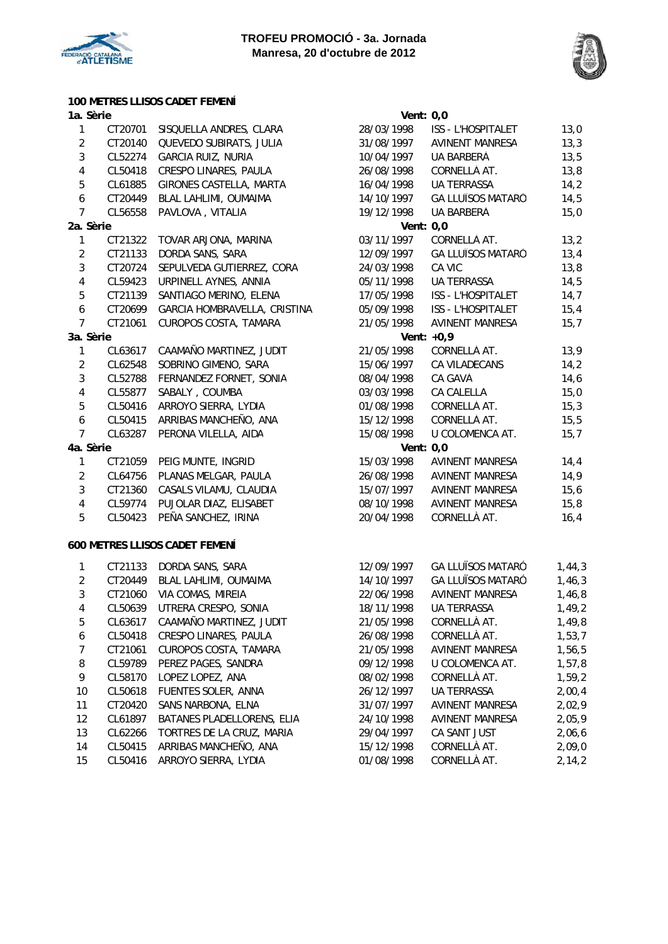



## **100 METRES LLISOS CADET FEMENÍ**

| 1a. Sèrie        |         |                              |            | Vent: $0,0$              |      |
|------------------|---------|------------------------------|------------|--------------------------|------|
| 1                | CT20701 | SISQUELLA ANDRES, CLARA      | 28/03/1998 | ISS - L'HOSPITALET       | 13,0 |
| $\overline{2}$   | CT20140 | QUEVEDO SUBIRATS, JULIA      | 31/08/1997 | <b>AVINENT MANRESA</b>   | 13,3 |
| 3                | CL52274 | <b>GARCIA RUIZ, NURIA</b>    | 10/04/1997 | UA BARBERÀ               | 13,5 |
| $\overline{4}$   | CL50418 | CRESPO LINARES, PAULA        | 26/08/1998 | CORNELLÀ AT.             | 13,8 |
| $\mathbf 5$      | CL61885 | GIRONES CASTELLA, MARTA      | 16/04/1998 | <b>UA TERRASSA</b>       | 14,2 |
| $\boldsymbol{6}$ | CT20449 | BLAL LAHLIMI, OUMAIMA        | 14/10/1997 | <b>GA LLUÏSOS MATARÓ</b> | 14,5 |
| $\overline{7}$   | CL56558 | PAVLOVA, VITALIA             | 19/12/1998 | UA BARBERÀ               | 15,0 |
| 2a. Sèrie        |         |                              |            | Vent: $0,0$              |      |
| 1                | CT21322 | TOVAR ARJONA, MARINA         | 03/11/1997 | CORNELLÀ AT.             | 13,2 |
| $\overline{2}$   | CT21133 | DORDA SANS, SARA             | 12/09/1997 | <b>GA LLUÏSOS MATARÓ</b> | 13,4 |
| $\overline{3}$   | CT20724 | SEPULVEDA GUTIERREZ, CORA    | 24/03/1998 | CA VIC                   | 13,8 |
| $\pmb{4}$        | CL59423 | URPINELL AYNES, ANNIA        | 05/11/1998 | <b>UA TERRASSA</b>       | 14,5 |
| $\mathbf 5$      | CT21139 | SANTIAGO MERINO, ELENA       | 17/05/1998 | ISS - L'HOSPITALET       | 14,7 |
| $\boldsymbol{6}$ | CT20699 | GARCIA HOMBRAVELLA, CRISTINA | 05/09/1998 | ISS - L'HOSPITALET       | 15,4 |
| $\overline{7}$   | CT21061 | CUROPOS COSTA, TAMARA        | 21/05/1998 | <b>AVINENT MANRESA</b>   | 15,7 |
| 3a. Sèrie        |         |                              |            | Vent: $+0,9$             |      |
| 1                | CL63617 | CAAMAÑO MARTINEZ, JUDIT      | 21/05/1998 | CORNELLÀ AT.             | 13,9 |
| $\overline{2}$   | CL62548 | SOBRINO GIMENO, SARA         | 15/06/1997 | CA VILADECANS            | 14,2 |
| 3                | CL52788 | FERNANDEZ FORNET, SONIA      | 08/04/1998 | CA GAVÀ                  | 14,6 |
| $\overline{4}$   | CL55877 | SABALY, COUMBA               | 03/03/1998 | <b>CA CALELLA</b>        | 15,0 |
| $\mathbf 5$      | CL50416 | ARROYO SIERRA, LYDIA         | 01/08/1998 | CORNELLÀ AT.             | 15,3 |
| $\boldsymbol{6}$ | CL50415 | ARRIBAS MANCHEÑO, ANA        | 15/12/1998 | CORNELLÀ AT.             | 15,5 |
| $\overline{7}$   | CL63287 | PERONA VILELLA, AIDA         | 15/08/1998 | U COLOMENCA AT.          | 15,7 |
| 4a. Sèrie        |         |                              |            | Vent: $0,0$              |      |
| 1                | CT21059 | PEIG MUNTE, INGRID           | 15/03/1998 | <b>AVINENT MANRESA</b>   | 14,4 |
| $\overline{2}$   | CL64756 | PLANAS MELGAR, PAULA         | 26/08/1998 | AVINENT MANRESA          | 14,9 |
| 3                | CT21360 | CASALS VILAMU, CLAUDIA       | 15/07/1997 | <b>AVINENT MANRESA</b>   | 15,6 |
| $\overline{4}$   | CL59774 | PUJOLAR DIAZ, ELISABET       | 08/10/1998 | <b>AVINENT MANRESA</b>   | 15,8 |
| 5                | CL50423 | PEÑA SANCHEZ, IRINA          | 20/04/1998 | CORNELLÀ AT.             | 16,4 |
|                  |         |                              |            |                          |      |

## **600 METRES LLISOS CADET FEMENÍ**

|               | CT21133 | DORDA SANS, SARA           | 12/09/1997 | <b>GA LLUÏSOS MATARÓ</b> | 1,44,3 |
|---------------|---------|----------------------------|------------|--------------------------|--------|
| $\mathcal{P}$ | CT20449 | BLAL LAHLIMI, OUMAIMA      | 14/10/1997 | <b>GA LLUÏSOS MATARÓ</b> | 1,46,3 |
| 3             | CT21060 | VIA COMAS, MIREIA          | 22/06/1998 | <b>AVINENT MANRESA</b>   | 1,46,8 |
| 4             | CL50639 | UTRERA CRESPO, SONIA       | 18/11/1998 | <b>UA TERRASSA</b>       | 1,49,2 |
| 5             | CL63617 | CAAMAÑO MARTINEZ, JUDIT    | 21/05/1998 | CORNELLÀ AT.             | 1,49,8 |
| 6             | CL50418 | CRESPO LINARES, PAULA      | 26/08/1998 | CORNELLÀ AT.             | 1,53,7 |
| 7             | CT21061 | CUROPOS COSTA, TAMARA      | 21/05/1998 | AVINENT MANRESA          | 1,56,5 |
| 8             | CL59789 | PEREZ PAGES, SANDRA        | 09/12/1998 | U COLOMENCA AT.          | 1,57,8 |
| 9             | CL58170 | LOPEZ LOPEZ, ANA           | 08/02/1998 | CORNELLÀ AT.             | 1,59,2 |
| 10            | CL50618 | <b>FUENTES SOLER, ANNA</b> | 26/12/1997 | <b>UA TERRASSA</b>       | 2,00,4 |
| 11            | CT20420 | SANS NARBONA, ELNA         | 31/07/1997 | AVINENT MANRESA          | 2,02,9 |
| 12            | CL61897 | BATANES PLADELLORENS, ELIA | 24/10/1998 | <b>AVINENT MANRESA</b>   | 2,05,9 |
| 13            | CL62266 | TORTRES DE LA CRUZ, MARIA  | 29/04/1997 | CA SANT JUST             | 2,06,6 |
| 14            | CL50415 | ARRIBAS MANCHEÑO, ANA      | 15/12/1998 | CORNELLÀ AT.             | 2,09,0 |
| 15            | CL50416 | ARROYO SIERRA, LYDIA       | 01/08/1998 | CORNELLÀ AT.             | 2,14,2 |

| Vent: 0.0              |                               |      |
|------------------------|-------------------------------|------|
| 28/03/1998             | <b>ISS - L'HOSPITALET</b>     | 13,0 |
| 31/08/1997             | <b>AVINENT MANRESA</b>        | 13,3 |
| 10/04/1997             | UA BARBERÀ                    | 13,5 |
| 26/08/1998             | CORNELLÀ AT.                  | 13,8 |
| 16/04/1998             | <b>UA TERRASSA</b>            | 14,2 |
| 14/10/1997             | <b>GA LLUÏSOS MATARÓ</b>      | 14,5 |
| 19/12/1998             | UA BARBERÀ                    | 15,0 |
| Vent: 0.0              |                               |      |
| 03/11/1997             | CORNELLÀ AT.                  | 13,2 |
| 12/09/1997             | <b>GA LLUÏSOS MATARÓ</b>      | 13,4 |
| 24/03/1998             | CA VIC                        | 13,8 |
| 05/11/1998 UA TERRASSA |                               | 14,5 |
|                        | 17/05/1998 ISS - L'HOSPITALET | 14,7 |
| 05/09/1998             | <b>ISS - L'HOSPITALET</b>     | 15,4 |
| 21/05/1998             | <b>AVINENT MANRESA</b>        | 15,7 |
| Vent: $+0.9$           |                               |      |
| 21/05/1998             | CORNELLÀ AT.                  | 13,9 |
| 15/06/1997             | <b>CA VILADECANS</b>          | 14,2 |
| 08/04/1998             | CA GAVÀ                       | 14,6 |
| 03/03/1998             | <b>CA CALELLA</b>             | 15,0 |
| 01/08/1998             | CORNELLÀ AT.                  | 15,3 |
| 15/12/1998             | CORNELLÀ AT.                  | 15,5 |
| 15/08/1998             | U COLOMENCA AT.               | 15,7 |
| Vent:                  | 0, 0                          |      |
| 15/03/1998             | AVINENT MANRESA               | 14,4 |
| 26/08/1998             | <b>AVINENT MANRESA</b>        | 14,9 |
| 15/07/1997             | <b>AVINENT MANRESA</b>        | 15,6 |
| 08/10/1998             | <b>AVINENT MANRESA</b>        | 15,8 |
| 20/04/1998             | CORNELLÀ AT.                  | 16,4 |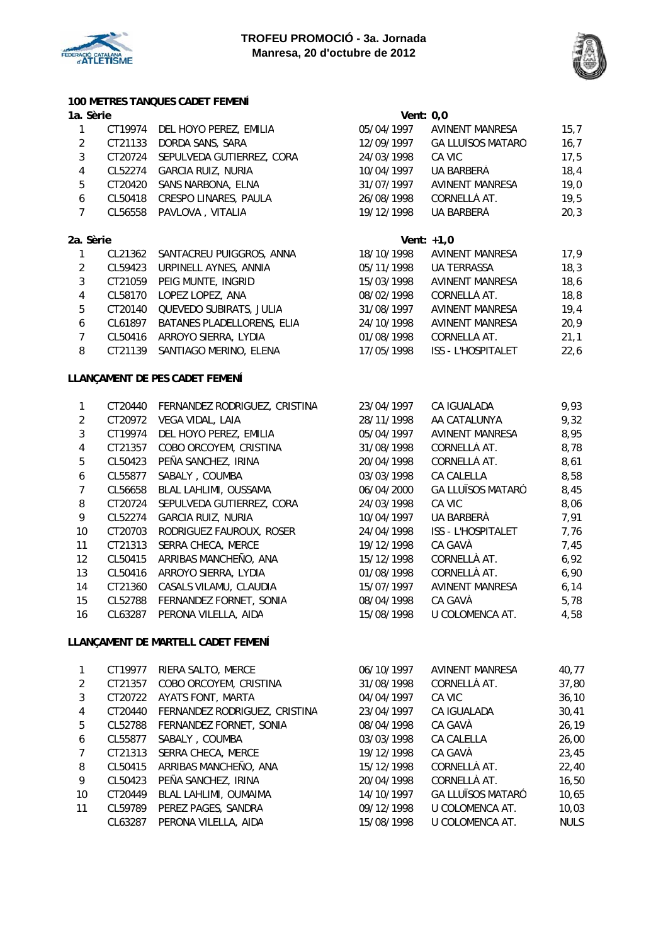



05/04/1997 AVINENT MANRESA 15,7 12/09/1997 GA LLUÏSOS MATARÓ 16,7<br>24/03/1998 CA VIC 16,7

10/04/1997 UA BARBERÀ 18,4 31/07/1997 AVINENT MANRESA 19,0 26/08/1998 CORNELLÀ AT. 19,5 19/12/1998 UA BARBERÀ 20,3

24/03/1998 CA VIC

## **100 METRES TANQUES CADET FEMENÍ**

## **1a. Sèrie Vent: 0,0**

|               |         | CT19974 DEL HOYO PEREZ, EMILIA |
|---------------|---------|--------------------------------|
| $\mathcal{P}$ | CT21133 | DORDA SANS, SARA               |
| 3             | CT20724 | SEPULVEDA GUTIERREZ, CORA      |
| 4             | CL52274 | <b>GARCIA RUIZ, NURIA</b>      |
| 5             | CT20420 | SANS NARBONA, ELNA             |
| 6             | CL50418 | <b>CRESPO LINARES, PAULA</b>   |
|               | CL56558 | PAVLOVA, VITALIA               |

| 2a. Sèrie |         |                                    |            | Vent: $+1.0$              |      |
|-----------|---------|------------------------------------|------------|---------------------------|------|
| 1         |         | CL21362 SANTACREU PUIGGROS, ANNA   | 18/10/1998 | <b>AVINENT MANRESA</b>    | 17,9 |
| 2         |         | CL59423 URPINELL AYNES, ANNIA      | 05/11/1998 | <b>UA TERRASSA</b>        | 18,3 |
| 3         |         | CT21059 PEIG MUNTE, INGRID         | 15/03/1998 | <b>AVINENT MANRESA</b>    | 18,6 |
| 4         | CL58170 | LOPEZ LOPEZ, ANA                   | 08/02/1998 | CORNELLÀ AT.              | 18,8 |
| 5         |         | CT20140 QUEVEDO SUBIRATS, JULIA    | 31/08/1997 | <b>AVINENT MANRESA</b>    | 19.4 |
| 6         |         | CL61897 BATANES PLADELLORENS, ELIA | 24/10/1998 | <b>AVINENT MANRESA</b>    | 20.9 |
|           | CL50416 | ARROYO SIERRA, LYDIA               | 01/08/1998 | CORNELLÀ AT.              | 21,1 |
| 8         |         | CT21139 SANTIAGO MERINO, ELENA     | 17/05/1998 | <b>ISS - L'HOSPITALET</b> | 22.6 |

## **LLANÇAMENT DE PES CADET FEMENÍ**

| 1.                | CT20440 | FERNANDEZ RODRIGUEZ, CRISTINA | 23/04/1997 | <b>CA IGUALADA</b>        | 9,93 |
|-------------------|---------|-------------------------------|------------|---------------------------|------|
| 2                 | CT20972 | <b>VEGA VIDAL, LAIA</b>       | 28/11/1998 | AA CATALUNYA              | 9,32 |
| 3                 | CT19974 | DEL HOYO PEREZ, EMILIA        | 05/04/1997 | <b>AVINENT MANRESA</b>    | 8,95 |
| 4                 | CT21357 | COBO ORCOYEM, CRISTINA        | 31/08/1998 | CORNELLÀ AT.              | 8,78 |
| 5                 | CL50423 | PEÑA SANCHEZ, IRINA           | 20/04/1998 | CORNELLÀ AT.              | 8,61 |
| 6                 | CL55877 | SABALY, COUMBA                | 03/03/1998 | <b>CA CALELLA</b>         | 8,58 |
| 7                 | CL56658 | BLAL LAHLIMI, OUSSAMA         | 06/04/2000 | <b>GA LLUÏSOS MATARÓ</b>  | 8,45 |
| 8                 | CT20724 | SEPULVEDA GUTIERREZ, CORA     | 24/03/1998 | CA VIC                    | 8,06 |
| 9                 | CL52274 | <b>GARCIA RUIZ, NURIA</b>     | 10/04/1997 | UA BARBERÀ                | 7,91 |
| 10                | CT20703 | RODRIGUEZ FAUROUX, ROSER      | 24/04/1998 | <b>ISS - L'HOSPITALET</b> | 7,76 |
| 11                | CT21313 | SERRA CHECA, MERCE            | 19/12/1998 | CA GAVÀ                   | 7,45 |
| $12 \overline{ }$ | CL50415 | ARRIBAS MANCHEÑO, ANA         | 15/12/1998 | CORNELLÀ AT.              | 6,92 |
| 13                | CL50416 | ARROYO SIERRA, LYDIA          | 01/08/1998 | CORNELLÀ AT.              | 6,90 |
| 14                | CT21360 | CASALS VILAMU, CLAUDIA        | 15/07/1997 | <b>AVINENT MANRESA</b>    | 6,14 |
| 15                | CL52788 | FERNANDEZ FORNET, SONIA       | 08/04/1998 | CA GAVÀ                   | 5,78 |
| 16                | CL63287 | PERONA VILELLA, AIDA          | 15/08/1998 | U COLOMENCA AT.           | 4,58 |
|                   |         |                               |            |                           |      |

#### **LLANÇAMENT DE MARTELL CADET FEMENÍ**

|                | CT19977 | RIERA SALTO, MERCE            | 06/10/1997 | AVINENT MANRESA          | 40,77       |
|----------------|---------|-------------------------------|------------|--------------------------|-------------|
| $\mathfrak{D}$ | CT21357 | COBO ORCOYEM, CRISTINA        | 31/08/1998 | CORNELLÀ AT.             | 37,80       |
| 3              | CT20722 | AYATS FONT, MARTA             | 04/04/1997 | CA VIC                   | 36, 10      |
| 4              | CT20440 | FERNANDEZ RODRIGUEZ, CRISTINA | 23/04/1997 | CA IGUALADA              | 30,41       |
| 5              | CL52788 | FERNANDEZ FORNET, SONIA       | 08/04/1998 | CA GAVÀ                  | 26,19       |
| 6              | CL55877 | SABALY, COUMBA                | 03/03/1998 | CA CALELLA               | 26,00       |
| 7              | CT21313 | SERRA CHECA, MERCE            | 19/12/1998 | CA GAVÀ                  | 23,45       |
| 8              | CL50415 | ARRIBAS MANCHEÑO, ANA         | 15/12/1998 | CORNELLÀ AT.             | 22,40       |
| 9              | CL50423 | PEÑA SANCHEZ, IRINA           | 20/04/1998 | CORNELLÀ AT.             | 16,50       |
| 10             | CT20449 | BLAL LAHLIMI, OUMAIMA         | 14/10/1997 | <b>GA LLUÏSOS MATARÓ</b> | 10,65       |
| 11             | CL59789 | PEREZ PAGES, SANDRA           | 09/12/1998 | U COLOMENCA AT.          | 10,03       |
|                | CL63287 | PERONA VILELLA, AIDA          | 15/08/1998 | U COLOMENCA AT.          | <b>NULS</b> |
|                |         |                               |            |                          |             |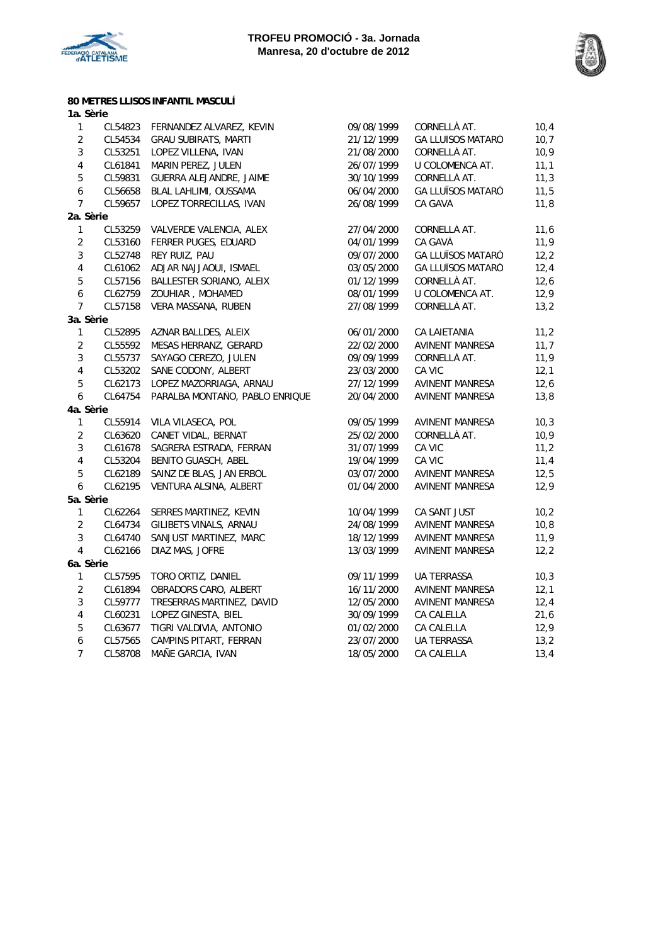



**80 METRES LLISOS INFANTIL MASCULÍ**

| 1a. Sèrie        |         |                                |            |                          |      |
|------------------|---------|--------------------------------|------------|--------------------------|------|
| 1                | CL54823 | FERNANDEZ ALVAREZ, KEVIN       | 09/08/1999 | CORNELLÀ AT.             | 10,4 |
| $\overline{2}$   | CL54534 | <b>GRAU SUBIRATS, MARTI</b>    | 21/12/1999 | <b>GA LLUÏSOS MATARÓ</b> | 10,7 |
| $\mathbf{3}$     | CL53251 | LOPEZ VILLENA, IVAN            | 21/08/2000 | CORNELLÀ AT.             | 10,9 |
| $\sqrt{4}$       | CL61841 | MARIN PEREZ, JULEN             | 26/07/1999 | U COLOMENCA AT.          | 11,1 |
| $\sqrt{5}$       | CL59831 | GUERRA ALEJANDRE, JAIME        | 30/10/1999 | CORNELLÀ AT.             | 11,3 |
| $\boldsymbol{6}$ | CL56658 | BLAL LAHLIMI, OUSSAMA          | 06/04/2000 | GA LLUÏSOS MATARÓ        | 11,5 |
| $\overline{7}$   | CL59657 | LOPEZ TORRECILLAS, IVAN        | 26/08/1999 | CA GAVÀ                  | 11,8 |
| 2a. Sèrie        |         |                                |            |                          |      |
| 1                | CL53259 | VALVERDE VALENCIA, ALEX        | 27/04/2000 | CORNELLÀ AT.             | 11,6 |
| $\overline{2}$   | CL53160 | FERRER PUGES, EDUARD           | 04/01/1999 | CA GAVÀ                  | 11,9 |
| $\mathbf{3}$     | CL52748 | REY RUIZ, PAU                  | 09/07/2000 | <b>GA LLUÏSOS MATARÓ</b> | 12,2 |
| $\overline{4}$   | CL61062 | ADJAR NAJJAOUI, ISMAEL         | 03/05/2000 | <b>GA LLUÏSOS MATARÓ</b> | 12,4 |
| 5                | CL57156 | BALLESTER SORIANO, ALEIX       | 01/12/1999 | CORNELLÀ AT.             | 12,6 |
| $\boldsymbol{6}$ | CL62759 | ZOUHIAR, MOHAMED               | 08/01/1999 | U COLOMENCA AT.          | 12,9 |
| $\overline{7}$   | CL57158 | VERA MASSANA, RUBEN            | 27/08/1999 | CORNELLÀ AT.             | 13,2 |
| 3a. Sèrie        |         |                                |            |                          |      |
| 1                | CL52895 | AZNAR BALLDES, ALEIX           | 06/01/2000 | CA LAIETANIA             | 11,2 |
| $\overline{2}$   | CL55592 | MESAS HERRANZ, GERARD          | 22/02/2000 | AVINENT MANRESA          | 11,7 |
| $\overline{3}$   | CL55737 | SAYAGO CEREZO, JULEN           | 09/09/1999 | CORNELLÀ AT.             | 11,9 |
| $\overline{4}$   | CL53202 | SAÑE CODONY, ALBERT            | 23/03/2000 | CA VIC                   | 12,1 |
| 5                | CL62173 | LOPEZ MAZORRIAGA, ARNAU        | 27/12/1999 | <b>AVINENT MANRESA</b>   | 12,6 |
| 6                | CL64754 | PARALBA MONTAÑO, PABLO ENRIQUE | 20/04/2000 | <b>AVINENT MANRESA</b>   | 13,8 |
| 4a. Sèrie        |         |                                |            |                          |      |
| 1                | CL55914 | VILA VILASECA, POL             | 09/05/1999 | AVINENT MANRESA          | 10,3 |
| $\overline{2}$   | CL63620 | CANET VIDAL, BERNAT            | 25/02/2000 | CORNELLÀ AT.             | 10,9 |
| $\mathbf{3}$     | CL61678 | SAGRERA ESTRADA, FERRAN        | 31/07/1999 | CA VIC                   | 11,2 |
| $\overline{4}$   | CL53204 | BENITO GUASCH, ABEL            | 19/04/1999 | CA VIC                   | 11,4 |
| 5                | CL62189 | SAINZ DE BLAS, JAN ERBOL       | 03/07/2000 | AVINENT MANRESA          | 12,5 |
| $\boldsymbol{6}$ | CL62195 | VENTURA ALSINA, ALBERT         | 01/04/2000 | AVINENT MANRESA          | 12,9 |
| 5a. Sèrie        |         |                                |            |                          |      |
| $\mathbf{1}$     | CL62264 | SERRES MARTINEZ, KEVIN         | 10/04/1999 | CA SANT JUST             | 10,2 |
| $\overline{2}$   | CL64734 | GILIBETS VIÑALS, ARNAU         | 24/08/1999 | <b>AVINENT MANRESA</b>   | 10,8 |
| $\overline{3}$   | CL64740 | SANJUST MARTINEZ, MARC         | 18/12/1999 | AVINENT MANRESA          | 11,9 |
| $\overline{4}$   | CL62166 | DIAZ MAS, JOFRE                | 13/03/1999 | AVINENT MANRESA          | 12,2 |
| 6a. Sèrie        |         |                                |            |                          |      |
| 1                | CL57595 | TORO ORTIZ, DANIEL             | 09/11/1999 | <b>UA TERRASSA</b>       | 10,3 |
| $\overline{2}$   | CL61894 | OBRADORS CARO, ALBERT          | 16/11/2000 | <b>AVINENT MANRESA</b>   | 12,1 |
| $\mathfrak{Z}$   | CL59777 | TRESERRAS MARTINEZ, DAVID      | 12/05/2000 | <b>AVINENT MANRESA</b>   | 12,4 |
| $\overline{4}$   | CL60231 | LOPEZ GINESTA, BIEL            | 30/09/1999 | CA CALELLA               | 21,6 |
| $\sqrt{5}$       | CL63677 | TIGRI VALDIVIA, ANTONIO        | 01/02/2000 | CA CALELLA               | 12,9 |
| $\boldsymbol{6}$ | CL57565 | CAMPINS PITART, FERRAN         | 23/07/2000 | UA TERRASSA              | 13,2 |
| $\overline{7}$   | CL58708 | MAÑE GARCIA, IVAN              | 18/05/2000 | CA CALELLA               | 13,4 |
|                  |         |                                |            |                          |      |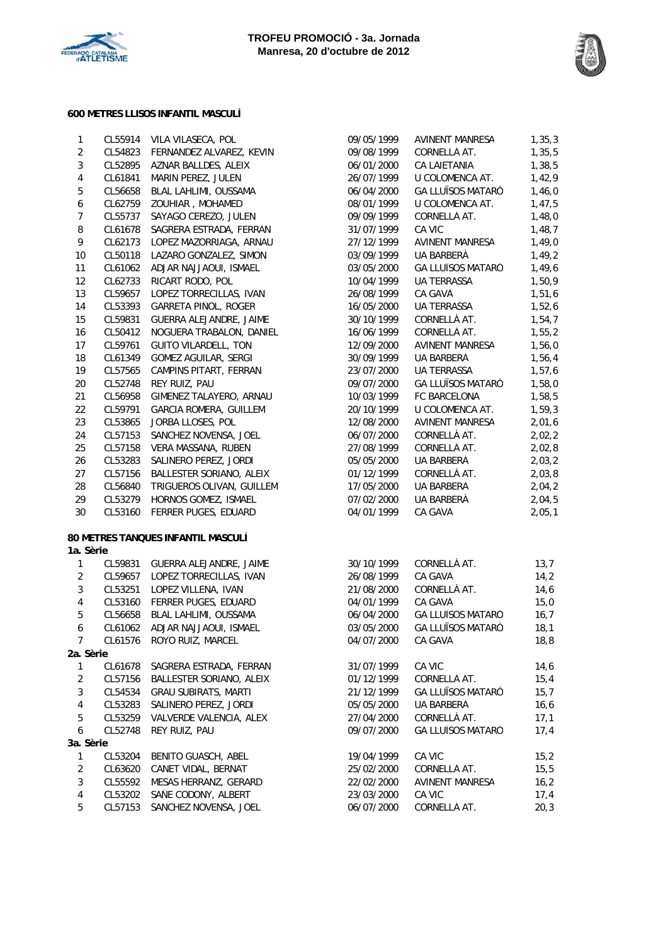



## **600 METRES LLISOS INFANTIL MASCULÍ**

| $\mathbf{1}$   | CL55914 | VILA VILASECA, POL                 | 09/05/1999 | AVINENT MANRESA          | 1, 35, 3 |
|----------------|---------|------------------------------------|------------|--------------------------|----------|
| $\overline{a}$ |         | CL54823 FERNANDEZ ALVAREZ, KEVIN   | 09/08/1999 | CORNELLÀ AT.             | 1,35,5   |
| $\mathfrak{Z}$ | CL52895 | AZNAR BALLDES, ALEIX               | 06/01/2000 | CA LAIETANIA             | 1,38,5   |
| $\overline{4}$ | CL61841 | MARIN PEREZ, JULEN                 | 26/07/1999 | U COLOMENCA AT.          | 1,42,9   |
| 5              | CL56658 | BLAL LAHLIMI, OUSSAMA              | 06/04/2000 | <b>GA LLUÏSOS MATARÓ</b> | 1,46,0   |
| 6              | CL62759 | ZOUHIAR, MOHAMED                   | 08/01/1999 | U COLOMENCA AT.          | 1,47,5   |
| $\overline{7}$ | CL55737 | SAYAGO CEREZO, JULEN               | 09/09/1999 | CORNELLÀ AT.             | 1,48,0   |
| $\, 8$         | CL61678 | SAGRERA ESTRADA, FERRAN            | 31/07/1999 | CA VIC                   | 1,48,7   |
| 9              | CL62173 | LOPEZ MAZORRIAGA, ARNAU            | 27/12/1999 | AVINENT MANRESA          | 1,49,0   |
| $10\,$         | CL50118 | LAZARO GONZALEZ, SIMON             | 03/09/1999 | UA BARBERÀ               | 1,49,2   |
| 11             | CL61062 | ADJAR NAJJAOUI, ISMAEL             | 03/05/2000 | <b>GA LLUÏSOS MATARÓ</b> | 1,49,6   |
| 12             | CL62733 | RICART RODO, POL                   | 10/04/1999 | <b>UA TERRASSA</b>       | 1,50,9   |
| 13             | CL59657 | LOPEZ TORRECILLAS, IVAN            | 26/08/1999 | CA GAVÀ                  | 1,51,6   |
|                |         |                                    |            |                          |          |
| 14             | CL53393 | GARRETA PIÑOL, ROGER               | 16/05/2000 | UA TERRASSA              | 1,52,6   |
| 15             | CL59831 | GUERRA ALEJANDRE, JAIME            | 30/10/1999 | CORNELLÀ AT.             | 1,54,7   |
| 16             | CL50412 | NOGUERA TRABALON, DANIEL           | 16/06/1999 | CORNELLÀ AT.             | 1,55,2   |
| 17             | CL59761 | GUITO VILARDELL, TON               | 12/09/2000 | AVINENT MANRESA          | 1,56,0   |
| 18             | CL61349 | GOMEZ AGUILAR, SERGI               | 30/09/1999 | UA BARBERÀ               | 1,56,4   |
| 19             | CL57565 | CAMPINS PITART, FERRAN             | 23/07/2000 | UA TERRASSA              | 1,57,6   |
| 20             | CL52748 | REY RUIZ, PAU                      | 09/07/2000 | <b>GA LLUÏSOS MATARÓ</b> | 1,58,0   |
| 21             | CL56958 | GIMENEZ TALAYERO, ARNAU            | 10/03/1999 | FC BARCELONA             | 1,58,5   |
| 22             | CL59791 | GARCIA ROMERA, GUILLEM             | 20/10/1999 | U COLOMENCA AT.          | 1,59,3   |
| 23             | CL53865 | JORBA LLOSES, POL                  | 12/08/2000 | AVINENT MANRESA          | 2,01,6   |
| 24             | CL57153 | SANCHEZ NOVENSA, JOEL              | 06/07/2000 | CORNELLÀ AT.             | 2,02,2   |
| 25             | CL57158 | VERA MASSANA, RUBEN                | 27/08/1999 | CORNELLÀ AT.             | 2,02,8   |
| 26             | CL53283 | SALINERO PEREZ, JORDI              | 05/05/2000 | UA BARBERÀ               | 2,03,2   |
| 27             | CL57156 | BALLESTER SORIANO, ALEIX           | 01/12/1999 | CORNELLÀ AT.             | 2,03,8   |
| 28             | CL56840 | TRIGUEROS OLIVAN, GUILLEM          | 17/05/2000 | UA BARBERÀ               | 2,04,2   |
| 29             | CL53279 | HORNOS GOMEZ, ISMAEL               | 07/02/2000 | UA BARBERÀ               | 2,04,5   |
| 30             | CL53160 | FERRER PUGES, EDUARD               | 04/01/1999 | CA GAVÀ                  | 2,05,1   |
|                |         | 80 METRES TANQUES INFANTIL MASCULÍ |            |                          |          |
| 1a. Sèrie      |         |                                    |            |                          |          |
| $\mathbf{1}$   |         | CL59831 GUERRA ALEJANDRE, JAIME    | 30/10/1999 | CORNELLÀ AT.             | 13,7     |
| $\overline{2}$ | CL59657 | LOPEZ TORRECILLAS, IVAN            | 26/08/1999 | CA GAVÀ                  | 14,2     |
| $\mathbf{3}$   | CL53251 | LOPEZ VILLENA, IVAN                | 21/08/2000 | CORNELLÀ AT.             | 14,6     |
| $\overline{4}$ | CL53160 | FERRER PUGES, EDUARD               | 04/01/1999 | CA GAVÀ                  | 15,0     |
| $\sqrt{5}$     | CL56658 | BLAL LAHLIMI, OUSSAMA              | 06/04/2000 | GA LLUÏSOS MATARÓ        | 16,7     |
| 6              | CL61062 | ADJAR NAJJAOUI, ISMAEL             | 03/05/2000 | <b>GA LLUÏSOS MATARÓ</b> | 18,1     |
| 7              | CL61576 | ROYO RUIZ, MARCEL                  | 04/07/2000 | CA GAVÀ                  | 18,8     |
| 2a. Sèrie      |         |                                    |            |                          |          |
| 1              | CL61678 | SAGRERA ESTRADA, FERRAN            | 31/07/1999 | CA VIC                   | 14, 6    |
| $\overline{2}$ | CL57156 | BALLESTER SORIANO, ALEIX           | 01/12/1999 | CORNELLÀ AT.             | 15,4     |
| $\mathbf{3}$   | CL54534 | <b>GRAU SUBIRATS, MARTI</b>        | 21/12/1999 | <b>GA LLUÏSOS MATARÓ</b> | 15,7     |
| $\overline{4}$ | CL53283 | SALINERO PEREZ, JORDI              | 05/05/2000 | UA BARBERÀ               | 16, 6    |
| 5              | CL53259 | VALVERDE VALENCIA, ALEX            | 27/04/2000 | CORNELLÀ AT.             | 17,1     |
| 6              | CL52748 | REY RUIZ, PAU                      | 09/07/2000 | <b>GA LLUÏSOS MATARÓ</b> | 17,4     |
| 3a. Sèrie      |         |                                    |            |                          |          |
| 1              | CL53204 | BENITO GUASCH, ABEL                | 19/04/1999 | CA VIC                   | 15,2     |
| $\overline{2}$ | CL63620 | CANET VIDAL, BERNAT                | 25/02/2000 | CORNELLÀ AT.             | 15, 5    |
| 3              |         | MESAS HERRANZ, GERARD              |            |                          |          |
|                | CL55592 |                                    | 22/02/2000 | AVINENT MANRESA          | 16,2     |
| 4<br>5         | CL53202 | SAÑE CODONY, ALBERT                | 23/03/2000 | CA VIC                   | 17,4     |
|                | CL57153 | SANCHEZ NOVENSA, JOEL              | 06/07/2000 | CORNELLÀ AT.             | 20,3     |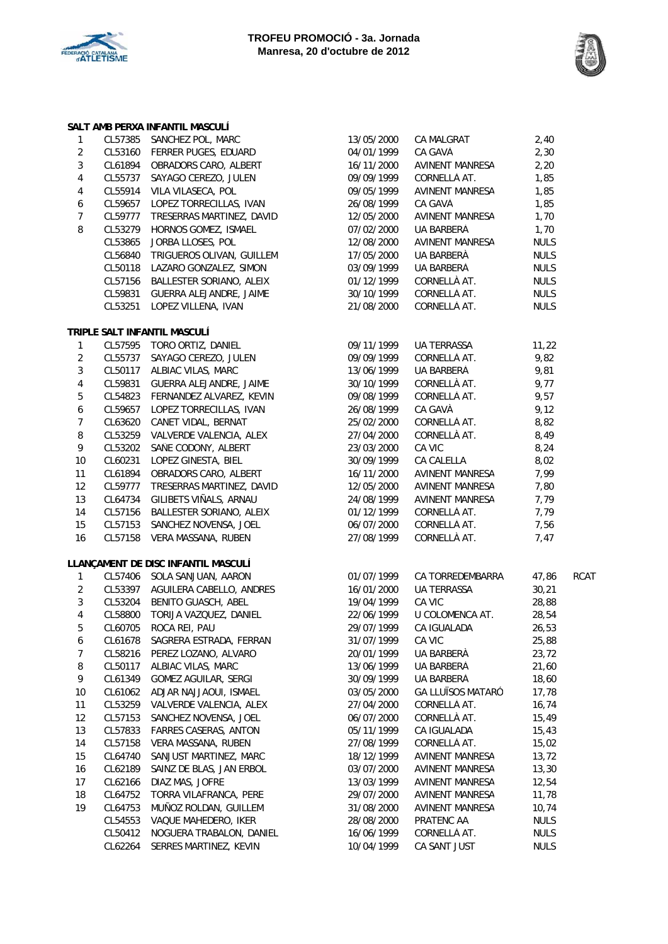



#### 1 CL57385 SANCHEZ POL, MARC 2 CL53160 FERRER PUGES, EDUARD 3 CL61894 OBRADORS CARO, ALBERT 4 CL55737 SAYAGO CEREZO, JULEN 4 CL55914 VILA VILASECA, POL 6 CL59657 LOPEZ TORRECILLAS, IVAN 7 CL59777 TRESERRAS MARTINEZ, DAVID 8 CL53279 HORNOS GOMEZ, ISMAEL CL53865 JORBA LLOSES, POL CL56840 TRIGUEROS OLIVAN, GUILLEM CL50118 LAZARO GONZALEZ, SIMON CL57156 BALLESTER SORIANO, ALEIX CL59831 GUERRA ALEJANDRE, JAIME CL53251 LOPEZ VILLENA, IVAN **SALT AMB PERXA INFANTIL MASCULÍ**

#### **TRIPLE SALT INFANTIL MASCULÍ**

| 1  | CL57595 | TORO ORTIZ, DANIEL              |
|----|---------|---------------------------------|
| 2  | CL55737 | SAYAGO CEREZO, JULEN            |
| 3  | CL50117 | <b>ALBIAC VILAS, MARC</b>       |
| 4  | CL59831 | <b>GUERRA ALEJANDRE, JAIME</b>  |
| 5  | CL54823 | FERNANDEZ ALVAREZ, KEVIN        |
| 6  | CL59657 | LOPEZ TORRECILLAS, IVAN         |
| 7  | CL63620 | CANET VIDAL, BERNAT             |
| 8  | CL53259 | VALVERDE VALENCIA, ALEX         |
| 9  | CL53202 | SAÑE CODONY, ALBERT             |
| 10 | CL60231 | <b>LOPEZ GINESTA, BIEL</b>      |
| 11 | CL61894 | <b>OBRADORS CARO, ALBERT</b>    |
| 12 | CL59777 | TRESERRAS MARTINEZ, DAVID       |
| 13 | CL64734 | GILIBETS VIÑALS, ARNAU          |
| 14 | CL57156 | <b>BALLESTER SORIANO, ALEIX</b> |
| 15 | CL57153 | SANCHEZ NOVENSA, JOEL           |
| 16 | CL57158 | <b>VERA MASSANA, RUBEN</b>      |

#### **LLANÇAMENT DE DISC INFANTIL MASCULÍ**

| 1              | CL57406 | SOLA SANJUAN, AARON            |
|----------------|---------|--------------------------------|
| 2              | CL53397 | AGUILERA CABELLO, ANDRES       |
| 3              | CL53204 | BENITO GUASCH, ABEL            |
| 4              | CL58800 | TORIJA VAZQUEZ, DANIEL         |
| 5              | CL60705 | ROCA REI, PAU                  |
| 6              | CL61678 | SAGRERA ESTRADA, FERRAN        |
| $\overline{7}$ | CL58216 | PEREZ LOZANO, ALVARO           |
| 8              | CL50117 | <b>ALBIAC VILAS, MARC</b>      |
| 9              | CL61349 | <b>GOMEZ AGUILAR, SERGI</b>    |
| 10             | CL61062 | ADJAR NAJJAOUI, ISMAEL         |
| 11             | CL53259 | <b>VALVERDE VALENCIA, ALEX</b> |
| 12             | CL57153 | SANCHEZ NOVENSA, JOEL          |
| 13             | CL57833 | <b>FARRES CASERAS, ANTON</b>   |
| 14             | CL57158 | VERA MASSANA, RUBEN            |
| 15             | CL64740 | SANJUST MARTINEZ, MARC         |
| 16             | CL62189 | SAINZ DE BLAS, JAN ERBOL       |
| 17             | CL62166 | DIAZ MAS, JOFRE                |
| 18             | CL64752 | TORRA VILAFRANCA, PERE         |
| 19             | CL64753 | MUÑOZ ROLDAN, GUILLEM          |
|                | CL54553 | VAQUE MAHEDERO, IKER           |
|                | CL50412 | NOGUERA TRABALON, DANIEL       |
|                | CL62264 | SERRES MARTINEZ, KEVIN         |

|                  |                    | ALI AMB PERAA INFANTIL MASUULI               |                          |                              |              |             |
|------------------|--------------------|----------------------------------------------|--------------------------|------------------------------|--------------|-------------|
| $\mathbf{1}$     |                    | CL57385 SANCHEZ POL, MARC                    | 13/05/2000               | CA MALGRAT                   | 2,40         |             |
| $\overline{2}$   |                    | CL53160 FERRER PUGES, EDUARD                 | 04/01/1999               | CA GAVÀ                      | 2,30         |             |
| 3                | CL61894            | OBRADORS CARO, ALBERT                        | 16/11/2000               | AVINENT MANRESA              | 2,20         |             |
| 4                | CL55737            | SAYAGO CEREZO, JULEN                         | 09/09/1999               | CORNELLÀ AT.                 | 1,85         |             |
| 4                | CL55914            | VILA VILASECA, POL                           | 09/05/1999               | AVINENT MANRESA              | 1,85         |             |
| 6                | CL59657            | LOPEZ TORRECILLAS, IVAN                      | 26/08/1999               | CA GAVÀ                      | 1,85         |             |
| $\overline{7}$   | CL59777            | TRESERRAS MARTINEZ, DAVID                    | 12/05/2000               | AVINENT MANRESA              | 1,70         |             |
| 8                | CL53279            | HORNOS GOMEZ, ISMAEL                         | 07/02/2000               | UA BARBERÀ                   | 1,70         |             |
|                  | CL53865            | JORBA LLOSES, POL                            | 12/08/2000               | AVINENT MANRESA              | <b>NULS</b>  |             |
|                  | CL56840            | TRIGUEROS OLIVAN, GUILLEM                    | 17/05/2000               | UA BARBERÀ                   | <b>NULS</b>  |             |
|                  | CL50118            | LAZARO GONZALEZ, SIMON                       | 03/09/1999               | UA BARBERÀ                   | <b>NULS</b>  |             |
|                  | CL57156            | BALLESTER SORIANO, ALEIX                     | 01/12/1999               | CORNELLÀ AT.                 | <b>NULS</b>  |             |
|                  |                    | CL59831 GUERRA ALEJANDRE, JAIME              | 30/10/1999               | CORNELLÀ AT.                 | <b>NULS</b>  |             |
|                  | CL53251            | LOPEZ VILLENA, IVAN                          | 21/08/2000               | CORNELLÀ AT.                 | <b>NULS</b>  |             |
|                  |                    | RIPLE SALT INFANTIL MASCULÍ                  |                          |                              |              |             |
| $\mathbf{1}$     |                    | CL57595 TORO ORTIZ, DANIEL                   | 09/11/1999               | UA TERRASSA                  | 11,22        |             |
| $\overline{2}$   | CL55737            | SAYAGO CEREZO, JULEN                         | 09/09/1999               | CORNELLÀ AT.                 | 9,82         |             |
| 3                |                    | CL50117 ALBIAC VILAS, MARC                   | 13/06/1999               | UA BARBERÀ                   | 9,81         |             |
| 4                | CL59831            | GUERRA ALEJANDRE, JAIME                      | 30/10/1999               | CORNELLÀ AT.                 | 9,77         |             |
| 5                |                    | CL54823 FERNANDEZ ALVAREZ, KEVIN             | 09/08/1999               | CORNELLÀ AT.                 | 9,57         |             |
| $\boldsymbol{6}$ | CL59657            | LOPEZ TORRECILLAS, IVAN                      | 26/08/1999               | CA GAVÀ                      | 9,12         |             |
| $\overline{7}$   | CL63620            | CANET VIDAL, BERNAT                          | 25/02/2000               | CORNELLÀ AT.                 | 8,82         |             |
| 8                |                    | CL53259 VALVERDE VALENCIA, ALEX              | 27/04/2000               | CORNELLÀ AT.                 | 8,49         |             |
| 9                | CL53202            | SAÑE CODONY, ALBERT                          | 23/03/2000               | CA VIC                       | 8,24         |             |
|                  | CL60231            | LOPEZ GINESTA, BIEL                          | 30/09/1999               | CA CALELLA                   | 8,02         |             |
| 10<br>11         | CL61894            | OBRADORS CARO, ALBERT                        | 16/11/2000               | AVINENT MANRESA              | 7,99         |             |
|                  | CL59777            | TRESERRAS MARTINEZ, DAVID                    |                          |                              | 7,80         |             |
| 12               |                    |                                              | 12/05/2000               | AVINENT MANRESA              |              |             |
| 13               | CL64734            | GILIBETS VIÑALS, ARNAU                       | 24/08/1999               | AVINENT MANRESA              | 7,79         |             |
| 14               | CL57156            | BALLESTER SORIANO, ALEIX                     | 01/12/1999               | CORNELLÀ AT.                 | 7,79         |             |
| 15<br>16         | CL57153<br>CL57158 | SANCHEZ NOVENSA, JOEL<br>VERA MASSANA, RUBEN | 06/07/2000<br>27/08/1999 | CORNELLÀ AT.<br>CORNELLÀ AT. | 7,56<br>7,47 |             |
|                  |                    |                                              |                          |                              |              |             |
|                  |                    | ANÇAMENT DE DISC INFANTIL MASCULÍ.           |                          |                              |              |             |
| $\mathbf{1}$     |                    | CL57406 SOLA SANJUAN, AARON                  | 01/07/1999               | CA TORREDEMBARRA             | 47,86        | <b>RCAT</b> |
| $\overline{c}$   |                    | CL53397 AGUILERA CABELLO, ANDRES             | 16/01/2000               | UA TERRASSA                  | 30,21        |             |
| 3                |                    | CL53204 BENITO GUASCH, ABEL                  | 19/04/1999               | CA VIC                       | 28,88        |             |
| $\sqrt{4}$       | CL58800            | TORIJA VAZQUEZ, DANIEL                       | 22/06/1999               | U COLOMENCA AT.              | 28,54        |             |
| 5                | CL60705            | ROCA REI, PAU                                | 29/07/1999               | CA IGUALADA                  | 26,53        |             |
| 6                | CL61678            | SAGRERA ESTRADA, FERRAN                      | 31/07/1999               | CA VIC                       | 25,88        |             |
| 7                | CL58216            | PEREZ LOZANO, ALVARO                         | 20/01/1999               | UA BARBERÀ                   | 23,72        |             |
| 8                | CL50117            | ALBIAC VILAS, MARC                           | 13/06/1999               | UA BARBERÀ                   | 21,60        |             |
| 9                | CL61349            | GOMEZ AGUILAR, SERGI                         | 30/09/1999               | UA BARBERÀ                   | 18,60        |             |
| 10               | CL61062            | ADJAR NAJJAOUI, ISMAEL                       | 03/05/2000               | <b>GA LLUÏSOS MATARÓ</b>     | 17,78        |             |
| 11               | CL53259            | VALVERDE VALENCIA, ALEX                      | 27/04/2000               | CORNELLÀ AT.                 | 16,74        |             |
| 12               | CL57153            | SANCHEZ NOVENSA, JOEL                        | 06/07/2000               | CORNELLÀ AT.                 | 15,49        |             |
| 13               | CL57833            | <b>FARRES CASERAS, ANTON</b>                 | 05/11/1999               | CA IGUALADA                  | 15,43        |             |
| 14               | CL57158            | VERA MASSANA, RUBEN                          | 27/08/1999               | CORNELLÀ AT.                 | 15,02        |             |
| 15               | CL64740            | SANJUST MARTINEZ, MARC                       | 18/12/1999               | <b>AVINENT MANRESA</b>       | 13,72        |             |
| 16               | CL62189            | SAINZ DE BLAS, JAN ERBOL                     | 03/07/2000               | AVINENT MANRESA              | 13,30        |             |
| 17               | CL62166            | DIAZ MAS, JOFRE                              | 13/03/1999               | AVINENT MANRESA              | 12,54        |             |
| 18               | CL64752            | TORRA VILAFRANCA, PERE                       | 29/07/2000               | AVINENT MANRESA              | 11,78        |             |
| 19               | CL64753            | MUÑOZ ROLDAN, GUILLEM                        | 31/08/2000               | AVINENT MANRESA              | 10,74        |             |
|                  | CL54553            | VAQUE MAHEDERO, IKER                         | 28/08/2000               | PRATENC AA                   | <b>NULS</b>  |             |
|                  | CL50412            | NOGUERA TRABALON, DANIEL                     | 16/06/1999               | CORNELLÀ AT.                 | <b>NULS</b>  |             |
|                  | CL62264            | SERRES MARTINEZ, KEVIN                       | 10/04/1999               | CA SANT JUST                 | <b>NULS</b>  |             |
|                  |                    |                                              |                          |                              |              |             |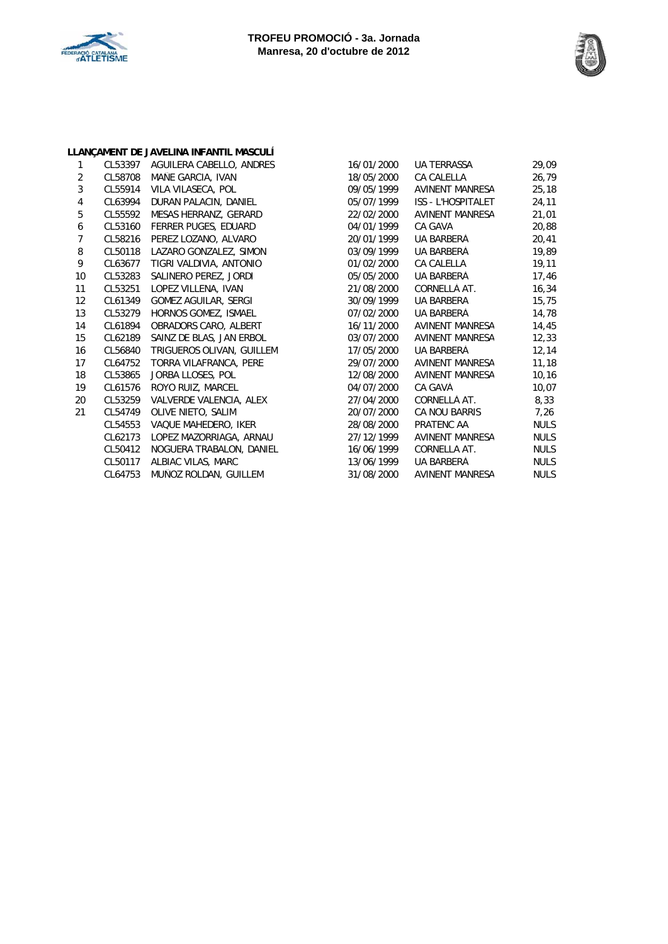



|                |         | LLANÇAMENT DE JAVELINA INFANTIL MASCULÍ |            |                           |             |
|----------------|---------|-----------------------------------------|------------|---------------------------|-------------|
| 1              |         | CL53397 AGUILERA CABELLO, ANDRES        | 16/01/2000 | <b>UA TERRASSA</b>        | 29,09       |
| 2              | CL58708 | MAÑE GARCIA, IVAN                       | 18/05/2000 | <b>CA CALELLA</b>         | 26,79       |
| 3              | CL55914 | VILA VILASECA, POL                      | 09/05/1999 | AVINENT MANRESA           | 25, 18      |
| $\overline{4}$ | CL63994 | DURAN PALACIN, DANIEL                   | 05/07/1999 | <b>ISS - L'HOSPITALET</b> | 24,11       |
| 5              | CL55592 | MESAS HERRANZ, GERARD                   | 22/02/2000 | AVINENT MANRESA           | 21,01       |
| 6              | CL53160 | FERRER PUGES, EDUARD                    | 04/01/1999 | CA GAVÀ                   | 20,88       |
| $\overline{7}$ | CL58216 | PEREZ LOZANO, ALVARO                    | 20/01/1999 | UA BARBERÀ                | 20,41       |
| 8              | CL50118 | LAZARO GONZALEZ, SIMON                  | 03/09/1999 | UA BARBERÀ                | 19,89       |
| 9              | CL63677 | TIGRI VALDIVIA, ANTONIO                 | 01/02/2000 | <b>CA CALELLA</b>         | 19,11       |
| 10             | CL53283 | SALINERO PEREZ, JORDI                   | 05/05/2000 | UA BARBERÀ                | 17,46       |
| 11             | CL53251 | LOPEZ VILLENA, IVAN                     | 21/08/2000 | CORNELLÀ AT.              | 16,34       |
| 12             | CL61349 | <b>GOMEZ AGUILAR, SERGI</b>             | 30/09/1999 | UA BARBERÀ                | 15,75       |
| 13             | CL53279 | HORNOS GOMEZ, ISMAEL                    | 07/02/2000 | UA BARBERÀ                | 14,78       |
| 14             | CL61894 | OBRADORS CARO, ALBERT                   | 16/11/2000 | AVINENT MANRESA           | 14,45       |
| 15             | CL62189 | SAINZ DE BLAS, JAN ERBOL                | 03/07/2000 | AVINENT MANRESA           | 12,33       |
| 16             | CL56840 | TRIGUEROS OLIVAN, GUILLEM               | 17/05/2000 | UA BARBERÀ                | 12,14       |
| 17             | CL64752 | TORRA VILAFRANCA, PERE                  | 29/07/2000 | AVINENT MANRESA           | 11,18       |
| 18             | CL53865 | JORBA LLOSES, POL                       | 12/08/2000 | AVINENT MANRESA           | 10, 16      |
| 19             | CL61576 | ROYO RUIZ, MARCEL                       | 04/07/2000 | CA GAVÀ                   | 10,07       |
| 20             | CL53259 | VALVERDE VALENCIA, ALEX                 | 27/04/2000 | CORNELLÀ AT.              | 8,33        |
| 21             | CL54749 | OLIVE NIETO, SALIM                      | 20/07/2000 | <b>CA NOU BARRIS</b>      | 7,26        |
|                | CL54553 | VAQUE MAHEDERO, IKER                    | 28/08/2000 | PRATENC AA                | <b>NULS</b> |
|                | CL62173 | LOPEZ MAZORRIAGA, ARNAU                 | 27/12/1999 | AVINENT MANRESA           | <b>NULS</b> |
|                | CL50412 | NOGUERA TRABALON, DANIEL                | 16/06/1999 | CORNELLÀ AT.              | <b>NULS</b> |
|                | CL50117 | ALBIAC VILAS, MARC                      | 13/06/1999 | UA BARBERÀ                | <b>NULS</b> |
|                | CL64753 | MUÑOZ ROLDAN, GUILLEM                   | 31/08/2000 | AVINENT MANRESA           | <b>NULS</b> |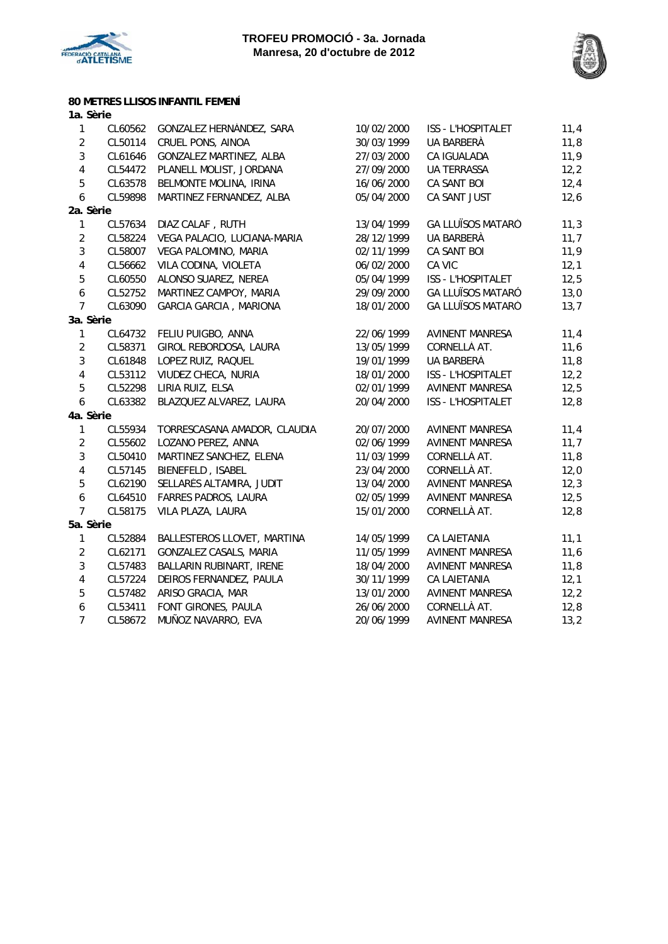



## **80 METRES LLISOS INFANTIL FEMENÍ**

| 1a. Sèrie        |         |                               |            |                          |      |
|------------------|---------|-------------------------------|------------|--------------------------|------|
| 1                | CL60562 | GONZALEZ HERNÁNDEZ, SARA      | 10/02/2000 | ISS - L'HOSPITALET       | 11,4 |
| $\overline{2}$   | CL50114 | CRUEL PONS, AINOA             | 30/03/1999 | UA BARBERÀ               | 11,8 |
| $\overline{3}$   | CL61646 | GONZALEZ MARTINEZ, ALBA       | 27/03/2000 | CA IGUALADA              | 11,9 |
| $\pmb{4}$        | CL54472 | PLANELL MOLIST, JORDANA       | 27/09/2000 | <b>UA TERRASSA</b>       | 12,2 |
| 5                | CL63578 | BELMONTE MOLINA, IRINA        | 16/06/2000 | CA SANT BOI              | 12,4 |
| 6                | CL59898 | MARTINEZ FERNANDEZ, ALBA      | 05/04/2000 | CA SANT JUST             | 12,6 |
| 2a. Sèrie        |         |                               |            |                          |      |
| $\mathbf{1}$     | CL57634 | DIAZ CALAF, RUTH              | 13/04/1999 | <b>GA LLUÏSOS MATARÓ</b> | 11,3 |
| $\mathbf 2$      | CL58224 | VEGA PALACIO, LUCIANA-MARIA   | 28/12/1999 | UA BARBERÀ               | 11,7 |
| $\overline{3}$   | CL58007 | VEGA PALOMINO, MARIA          | 02/11/1999 | CA SANT BOI              | 11,9 |
| $\pmb{4}$        | CL56662 | VILA CODINA, VIOLETA          | 06/02/2000 | CA VIC                   | 12,1 |
| 5                | CL60550 | ALONSO SUAREZ, NEREA          | 05/04/1999 | ISS - L'HOSPITALET       | 12,5 |
| $\boldsymbol{6}$ | CL52752 | MARTINEZ CAMPOY, MARIA        | 29/09/2000 | <b>GA LLUÏSOS MATARÓ</b> | 13,0 |
| $\overline{7}$   | CL63090 | <b>GARCIA GARCIA, MARIONA</b> | 18/01/2000 | <b>GA LLUÏSOS MATARÓ</b> | 13,7 |
| 3a. Sèrie        |         |                               |            |                          |      |
| $\mathbf{1}$     | CL64732 | FELIU PUIGBO, ANNA            | 22/06/1999 | <b>AVINENT MANRESA</b>   | 11,4 |
| $\overline{2}$   | CL58371 | GIROL REBORDOSA, LAURA        | 13/05/1999 | CORNELLÀ AT.             | 11,6 |
| $\sqrt{3}$       | CL61848 | LOPEZ RUIZ, RAQUEL            | 19/01/1999 | UA BARBERÀ               | 11,8 |
| $\pmb{4}$        | CL53112 | VIUDEZ CHECA, NURIA           | 18/01/2000 | ISS - L'HOSPITALET       | 12,2 |
| 5                | CL52298 | LIRIA RUIZ, ELSA              | 02/01/1999 | <b>AVINENT MANRESA</b>   | 12,5 |
| $\boldsymbol{6}$ | CL63382 | BLAZQUEZ ALVAREZ, LAURA       | 20/04/2000 | ISS - L'HOSPITALET       | 12,8 |
| 4a. Sèrie        |         |                               |            |                          |      |
| $\mathbf{1}$     | CL55934 | TORRESCASANA AMADOR, CLAUDIA  | 20/07/2000 | <b>AVINENT MANRESA</b>   | 11,4 |
| $\overline{2}$   | CL55602 | LOZANO PEREZ, ANNA            | 02/06/1999 | <b>AVINENT MANRESA</b>   | 11,7 |
| $\sqrt{3}$       | CL50410 | MARTINEZ SANCHEZ, ELENA       | 11/03/1999 | CORNELLÀ AT.             | 11,8 |
| $\pmb{4}$        | CL57145 | BIENEFELD, ISABEL             | 23/04/2000 | CORNELLÀ AT.             | 12,0 |
| 5                | CL62190 | SELLARÉS ALTAMIRA, JUDIT      | 13/04/2000 | <b>AVINENT MANRESA</b>   | 12,3 |
| 6                | CL64510 | FARRES PADROS, LAURA          | 02/05/1999 | <b>AVINENT MANRESA</b>   | 12,5 |
| $\overline{7}$   | CL58175 | VILA PLAZA, LAURA             | 15/01/2000 | CORNELLÀ AT.             | 12,8 |
| 5a. Sèrie        |         |                               |            |                          |      |
| 1                | CL52884 | BALLESTEROS LLOVET, MARTINA   | 14/05/1999 | CA LAIETANIA             | 11,1 |
| $\overline{2}$   | CL62171 | GONZALEZ CASALS, MARIA        | 11/05/1999 | AVINENT MANRESA          | 11,6 |
| $\overline{3}$   | CL57483 | BALLARIN RUBINART, IRENE      | 18/04/2000 | <b>AVINENT MANRESA</b>   | 11,8 |
| $\pmb{4}$        | CL57224 | DEIROS FERNANDEZ, PAULA       | 30/11/1999 | <b>CA LAIETANIA</b>      | 12,1 |
| $\overline{5}$   | CL57482 | ARISO GRACIA, MAR             | 13/01/2000 | <b>AVINENT MANRESA</b>   | 12,2 |
| 6                | CL53411 | FONT GIRONES, PAULA           | 26/06/2000 | CORNELLÀ AT.             | 12,8 |
| $\overline{7}$   | CL58672 | MUÑOZ NAVARRO, EVA            | 20/06/1999 | <b>AVINENT MANRESA</b>   | 13,2 |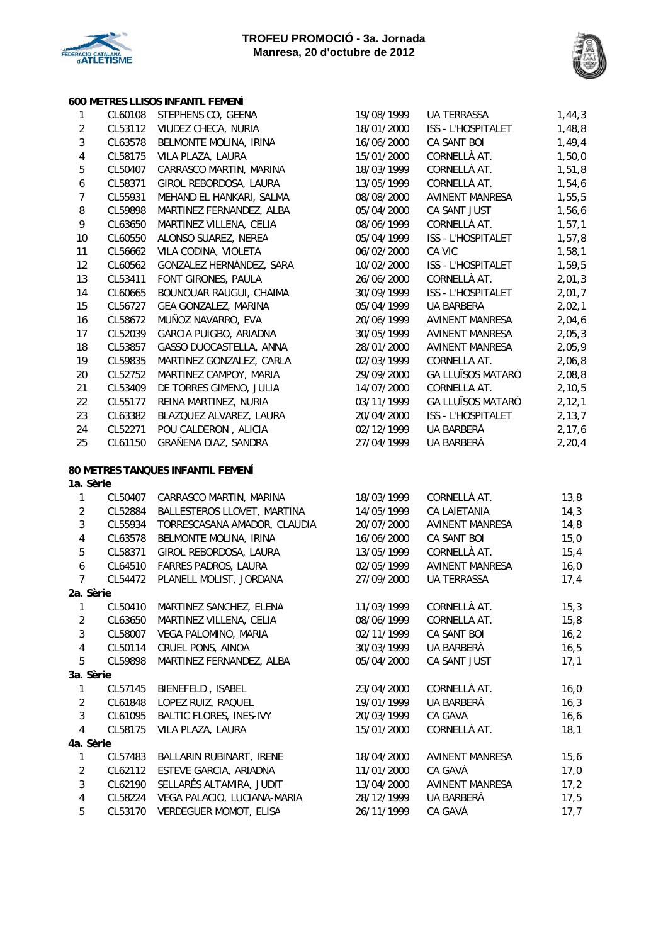

## **600 METRES LLISOS INFANTL FEMENÍ**

| $\mathbf{1}$            | CL60108 | STEPHENS CO, GEENA                | 19/08/1999 | <b>UA TERRASSA</b>       | 1,44,3   |
|-------------------------|---------|-----------------------------------|------------|--------------------------|----------|
| $\overline{2}$          | CL53112 | VIUDEZ CHECA, NURIA               | 18/01/2000 | ISS - L'HOSPITALET       | 1,48,8   |
| $\overline{3}$          | CL63578 | BELMONTE MOLINA, IRINA            | 16/06/2000 | CA SANT BOI              | 1,49,4   |
| $\sqrt{4}$              | CL58175 | VILA PLAZA, LAURA                 | 15/01/2000 | CORNELLÀ AT.             | 1,50,0   |
| $\mathbf 5$             | CL50407 | CARRASCO MARTIN, MARINA           | 18/03/1999 | CORNELLÀ AT.             | 1,51,8   |
| $\boldsymbol{6}$        | CL58371 | GIROL REBORDOSA, LAURA            | 13/05/1999 | CORNELLÀ AT.             | 1,54,6   |
| $\boldsymbol{7}$        | CL55931 | MEHAND EL HANKARI, SALMA          | 08/08/2000 | AVINENT MANRESA          | 1,55,5   |
| $\, 8$                  | CL59898 | MARTINEZ FERNANDEZ, ALBA          | 05/04/2000 | CA SANT JUST             | 1,56,6   |
| 9                       | CL63650 | MARTINEZ VILLENA, CELIA           | 08/06/1999 | CORNELLÀ AT.             | 1, 57, 1 |
| 10                      | CL60550 | ALONSO SUAREZ, NEREA              | 05/04/1999 | ISS - L'HOSPITALET       | 1,57,8   |
| 11                      | CL56662 | VILA CODINA, VIOLETA              | 06/02/2000 | CA VIC                   | 1,58,1   |
| 12                      | CL60562 | GONZALEZ HERNÁNDEZ, SARA          | 10/02/2000 | ISS - L'HOSPITALET       | 1,59,5   |
| 13                      | CL53411 | FONT GIRONES, PAULA               | 26/06/2000 | CORNELLÀ AT.             | 2,01,3   |
| 14                      | CL60665 | BOUNOUAR RAUGUI, CHAIMA           | 30/09/1999 | ISS - L'HOSPITALET       | 2,01,7   |
| 15                      | CL56727 | GEA GONZALEZ, MARINA              | 05/04/1999 | UA BARBERÀ               | 2,02,1   |
| 16                      | CL58672 | MUÑOZ NAVARRO, EVA                | 20/06/1999 | AVINENT MANRESA          | 2,04,6   |
| 17                      | CL52039 | GARCIA PUIGBO, ARIADNA            | 30/05/1999 | <b>AVINENT MANRESA</b>   | 2,05,3   |
| 18                      | CL53857 | GASSO DUOCASTELLA, ANNA           | 28/01/2000 | <b>AVINENT MANRESA</b>   | 2,05,9   |
| 19                      | CL59835 | MARTINEZ GONZALEZ, CARLA          | 02/03/1999 | CORNELLÀ AT.             | 2,06,8   |
| $20\,$                  | CL52752 | MARTINEZ CAMPOY, MARIA            | 29/09/2000 | <b>GA LLUÏSOS MATARÓ</b> | 2,08,8   |
| 21                      | CL53409 | DE TORRES GIMENO, JULIA           | 14/07/2000 | CORNELLÀ AT.             | 2, 10, 5 |
| 22                      | CL55177 | REINA MARTINEZ, NURIA             | 03/11/1999 | <b>GA LLUÏSOS MATARÓ</b> | 2, 12, 1 |
| 23                      | CL63382 | BLAZQUEZ ALVAREZ, LAURA           | 20/04/2000 | ISS - L'HOSPITALET       | 2, 13, 7 |
| 24                      | CL52271 | POU CALDERON, ALICIA              | 02/12/1999 | UA BARBERÀ               | 2, 17, 6 |
| 25                      | CL61150 | GRAÑENA DIAZ, SANDRA              | 27/04/1999 | UA BARBERÀ               | 2, 20, 4 |
|                         |         |                                   |            |                          |          |
| 1a. Sèrie               |         | 80 METRES TANQUES INFANTIL FEMENÍ |            |                          |          |
| $\mathbf{1}$            | CL50407 | CARRASCO MARTIN, MARINA           | 18/03/1999 | CORNELLÀ AT.             | 13,8     |
| $\overline{2}$          | CL52884 | BALLESTEROS LLOVET, MARTINA       | 14/05/1999 | CA LAIETANIA             | 14,3     |
| $\sqrt{3}$              | CL55934 | TORRESCASANA AMADOR, CLAUDIA      | 20/07/2000 | <b>AVINENT MANRESA</b>   | 14,8     |
| $\sqrt{4}$              | CL63578 | BELMONTE MOLINA, IRINA            | 16/06/2000 | CA SANT BOI              | 15,0     |
| $\mathbf 5$             | CL58371 | GIROL REBORDOSA, LAURA            | 13/05/1999 | CORNELLÀ AT.             | 15,4     |
| $\boldsymbol{6}$        | CL64510 | FARRES PADROS, LAURA              | 02/05/1999 | AVINENT MANRESA          | 16,0     |
| $\overline{7}$          | CL54472 | PLANELL MOLIST, JORDANA           | 27/09/2000 | <b>UA TERRASSA</b>       | 17,4     |
| 2a. Sèrie               |         |                                   |            |                          |          |
| $\mathbf{1}$            | CL50410 | MARTINEZ SANCHEZ, ELENA           | 11/03/1999 | CORNELLÀ AT.             | 15,3     |
| $\overline{c}$          | CL63650 | MARTINEZ VILLENA, CELIA           | 08/06/1999 | CORNELLÀ AT.             | 15,8     |
| $\sqrt{3}$              | CL58007 | VEGA PALOMINO, MARIA              | 02/11/1999 | CA SANT BOI              | 16, 2    |
| $\overline{\mathbf{4}}$ | CL50114 | CRUEL PONS, AINOA                 | 30/03/1999 | UA BARBERÀ               | 16,5     |
| 5                       | CL59898 | MARTINEZ FERNANDEZ, ALBA          | 05/04/2000 | CA SANT JUST             | 17,1     |
| 3a. Sèrie               |         |                                   |            |                          |          |
| 1                       | CL57145 | BIENEFELD, ISABEL                 | 23/04/2000 | CORNELLÀ AT.             | 16,0     |
| $\sqrt{2}$              | CL61848 | LOPEZ RUIZ, RAQUEL                | 19/01/1999 | UA BARBERÀ               | 16,3     |
| $\sqrt{3}$              | CL61095 | <b>BALTIC FLORES, INES-IVY</b>    | 20/03/1999 | CA GAVÀ                  | 16, 6    |
| 4                       | CL58175 | VILA PLAZA, LAURA                 | 15/01/2000 | CORNELLÀ AT.             | 18,1     |
| 4a. Sèrie               |         |                                   |            |                          |          |
| 1                       | CL57483 | BALLARIN RUBINART, IRENE          | 18/04/2000 | <b>AVINENT MANRESA</b>   | 15, 6    |
| $\sqrt{2}$              | CL62112 | ESTEVE GARCIA, ARIADNA            | 11/01/2000 | CA GAVÀ                  | 17,0     |
| $\sqrt{3}$              | CL62190 | SELLARÉS ALTAMIRA, JUDIT          | 13/04/2000 | AVINENT MANRESA          | 17,2     |
| $\overline{\mathbf{4}}$ | CL58224 | VEGA PALACIO, LUCIANA-MARIA       | 28/12/1999 | UA BARBERÀ               | 17,5     |
| 5                       | CL53170 | VERDEGUER MOMOT, ELISA            | 26/11/1999 | CA GAVÀ                  | 17,7     |
|                         |         |                                   |            |                          |          |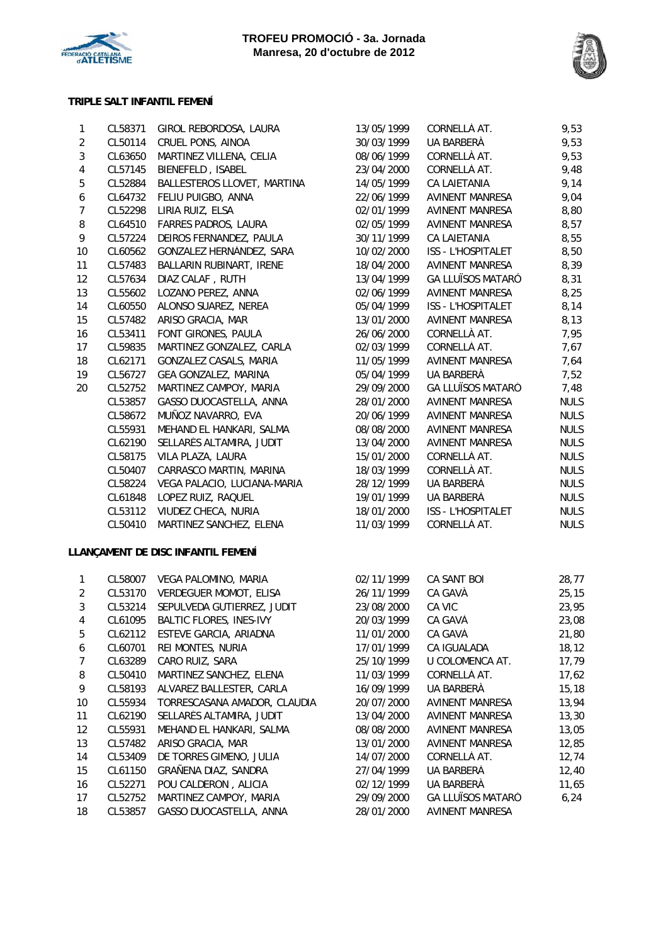



## **TRIPLE SALT INFANTIL FEMENÍ**

| 1                       | CL58371 | GIROL REBORDOSA, LAURA             | 13/05/1999 | CORNELLÀ AT.             | 9,53        |
|-------------------------|---------|------------------------------------|------------|--------------------------|-------------|
| $\overline{2}$          | CL50114 | CRUEL PONS, AINOA                  | 30/03/1999 | UA BARBERÀ               | 9,53        |
| $\sqrt{3}$              | CL63650 | MARTINEZ VILLENA, CELIA            | 08/06/1999 | CORNELLÀ AT.             | 9,53        |
| $\overline{\mathbf{4}}$ | CL57145 | BIENEFELD, ISABEL                  | 23/04/2000 | CORNELLÀ AT.             | 9,48        |
| $\mathbf 5$             | CL52884 | BALLESTEROS LLOVET, MARTINA        | 14/05/1999 | CA LAIETANIA             | 9,14        |
| $\boldsymbol{6}$        | CL64732 | FELIU PUIGBO, ANNA                 | 22/06/1999 | <b>AVINENT MANRESA</b>   | 9,04        |
| $\boldsymbol{7}$        | CL52298 | LIRIA RUIZ, ELSA                   | 02/01/1999 | AVINENT MANRESA          | 8,80        |
| 8                       | CL64510 | FARRES PADROS, LAURA               | 02/05/1999 | AVINENT MANRESA          | 8,57        |
| 9                       | CL57224 | DEIROS FERNANDEZ, PAULA            | 30/11/1999 | CA LAIETANIA             | 8,55        |
| 10                      | CL60562 | GONZALEZ HERNÁNDEZ, SARA           | 10/02/2000 | ISS - L'HOSPITALET       | 8,50        |
| 11                      | CL57483 | BALLARIN RUBINART, IRENE           | 18/04/2000 | AVINENT MANRESA          | 8,39        |
| 12                      | CL57634 | DIAZ CALAF, RUTH                   | 13/04/1999 | <b>GA LLUÏSOS MATARÓ</b> | 8,31        |
| 13                      | CL55602 | LOZANO PEREZ, ANNA                 | 02/06/1999 | <b>AVINENT MANRESA</b>   | 8,25        |
| 14                      | CL60550 | ALONSO SUAREZ, NEREA               | 05/04/1999 | ISS - L'HOSPITALET       | 8,14        |
| 15                      | CL57482 | ARISO GRACIA, MAR                  | 13/01/2000 | AVINENT MANRESA          | 8,13        |
| 16                      | CL53411 | FONT GIRONES, PAULA                | 26/06/2000 | CORNELLÀ AT.             | 7,95        |
| 17                      | CL59835 | MARTINEZ GONZALEZ, CARLA           | 02/03/1999 | CORNELLÀ AT.             | 7,67        |
| 18                      | CL62171 | GONZALEZ CASALS, MARIA             | 11/05/1999 | <b>AVINENT MANRESA</b>   | 7,64        |
| 19                      | CL56727 | GEA GONZALEZ, MARINA               | 05/04/1999 | UA BARBERÀ               | 7,52        |
| 20                      | CL52752 | MARTINEZ CAMPOY, MARIA             | 29/09/2000 | <b>GA LLUÏSOS MATARÓ</b> | 7,48        |
|                         | CL53857 | GASSO DUOCASTELLA, ANNA            | 28/01/2000 | <b>AVINENT MANRESA</b>   | <b>NULS</b> |
|                         | CL58672 | MUÑOZ NAVARRO, EVA                 | 20/06/1999 | <b>AVINENT MANRESA</b>   | <b>NULS</b> |
|                         | CL55931 | MEHAND EL HANKARI, SALMA           | 08/08/2000 | <b>AVINENT MANRESA</b>   | <b>NULS</b> |
|                         | CL62190 | SELLARÉS ALTAMIRA, JUDIT           | 13/04/2000 | AVINENT MANRESA          | <b>NULS</b> |
|                         | CL58175 | VILA PLAZA, LAURA                  | 15/01/2000 | CORNELLÀ AT.             | <b>NULS</b> |
|                         | CL50407 | CARRASCO MARTIN, MARINA            | 18/03/1999 | CORNELLÀ AT.             | <b>NULS</b> |
|                         | CL58224 | VEGA PALACIO, LUCIANA-MARIA        | 28/12/1999 | UA BARBERÀ               | <b>NULS</b> |
|                         | CL61848 | LOPEZ RUIZ, RAQUEL                 | 19/01/1999 | UA BARBERÀ               | <b>NULS</b> |
|                         | CL53112 | VIUDEZ CHECA, NURIA                | 18/01/2000 | ISS - L'HOSPITALET       | <b>NULS</b> |
|                         | CL50410 | MARTINEZ SANCHEZ, ELENA            | 11/03/1999 | CORNELLÀ AT.             | <b>NULS</b> |
|                         |         |                                    |            |                          |             |
|                         |         | LLANÇAMENT DE DISC INFANTIL FEMENÍ |            |                          |             |
| $\mathbf{1}$            | CL58007 | VEGA PALOMINO, MARIA               | 02/11/1999 | CA SANT BOI              | 28,77       |
| $\overline{2}$          | CL53170 | <b>VERDEGUER MOMOT, ELISA</b>      | 26/11/1999 | CA GAVÀ                  | 25, 15      |
| $\sqrt{3}$              | CL53214 | SEPULVEDA GUTIERREZ, JUDIT         | 23/08/2000 | CA VIC                   | 23,95       |
| 4                       | CL61095 | <b>BALTIC FLORES, INES-IVY</b>     | 20/03/1999 | CA GAVÀ                  | 23,08       |
| 5                       | CL62112 | ESTEVE GARCIA, ARIADNA             | 11/01/2000 | CA GAVÀ                  | 21,80       |
| 6                       | CL60701 | REI MONTES, NURIA                  | 17/01/1999 | CA IGUALADA              | 18, 12      |
| $\boldsymbol{7}$        | CL63289 | CARO RUIZ, SARA                    | 25/10/1999 | U COLOMENCA AT.          | 17,79       |
| 8                       | CL50410 | MARTINEZ SANCHEZ, ELENA            | 11/03/1999 | CORNELLÀ AT.             | 17,62       |
| 9                       | CL58193 | ALVAREZ BALLESTER, CARLA           | 16/09/1999 | UA BARBERÀ               | 15, 18      |
| 10                      | CL55934 | TORRESCASANA AMADOR, CLAUDIA       | 20/07/2000 | AVINENT MANRESA          | 13,94       |
| 11                      | CL62190 | SELLARÉS ALTAMIRA, JUDIT           | 13/04/2000 | <b>AVINENT MANRESA</b>   | 13,30       |
| 12                      | CL55931 | MEHAND EL HANKARI, SALMA           | 08/08/2000 | AVINENT MANRESA          | 13,05       |
| 13                      | CL57482 | ARISO GRACIA, MAR                  | 13/01/2000 | AVINENT MANRESA          | 12,85       |
| 14                      | CL53409 | DE TORRES GIMENO, JULIA            | 14/07/2000 | CORNELLÀ AT.             | 12,74       |
| 15                      | CL61150 | GRAÑENA DIAZ, SANDRA               | 27/04/1999 | UA BARBERÀ               | 12,40       |
| 16                      | CL52271 | POU CALDERON, ALICIA               | 02/12/1999 | UA BARBERÀ               | 11,65       |
| 17                      | CL52752 | MARTINEZ CAMPOY, MARIA             | 29/09/2000 | <b>GA LLUÏSOS MATARÓ</b> | 6, 24       |
| 18                      | CL53857 | GASSO DUOCASTELLA, ANNA            | 28/01/2000 | <b>AVINENT MANRESA</b>   |             |
|                         |         |                                    |            |                          |             |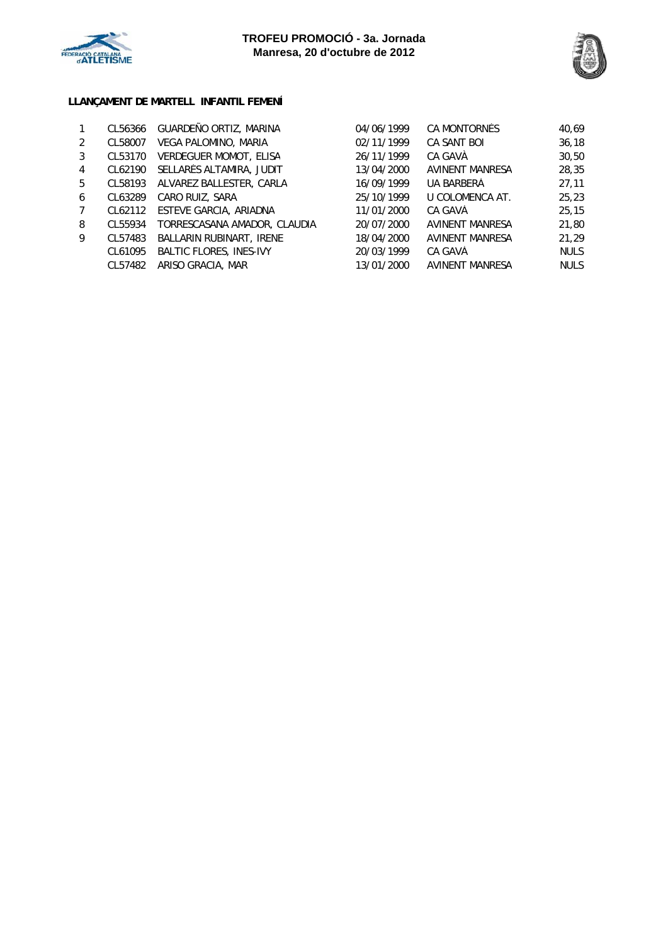



## **LLANÇAMENT DE MARTELL INFANTIL FEMENÍ**

|   | CL56366 | GUARDEÑO ORTIZ, MARINA         | 04/06/1999 | CA MONTORNES       | 40.69       |
|---|---------|--------------------------------|------------|--------------------|-------------|
| 2 | CL58007 | VEGA PALOMINO, MARIA           | 02/11/1999 | <b>CA SANT BOI</b> | 36, 18      |
| 3 | CL53170 | <b>VERDEGUER MOMOT, ELISA</b>  | 26/11/1999 | CA GAVÀ            | 30,50       |
| 4 | CL62190 | SELLARÉS ALTAMIRA, JUDIT       | 13/04/2000 | AVINENT MANRESA    | 28,35       |
| 5 | CL58193 | ALVAREZ BALLESTER, CARLA       | 16/09/1999 | UA BARBERÀ         | 27.11       |
| 6 | CL63289 | CARO RUIZ, SARA                | 25/10/1999 | U COLOMENCA AT.    | 25,23       |
|   | CL62112 | ESTEVE GARCIA, ARIADNA         | 11/01/2000 | CA GAVÀ            | 25, 15      |
| 8 | CL55934 | TORRESCASANA AMADOR, CLAUDIA   | 20/07/2000 | AVINENT MANRESA    | 21,80       |
| 9 | CL57483 | BALLARIN RUBINART, IRENE       | 18/04/2000 | AVINENT MANRESA    | 21.29       |
|   | CL61095 | <b>BALTIC FLORES, INES-IVY</b> | 20/03/1999 | CA GAVÀ            | <b>NULS</b> |
|   | CL57482 | ARISO GRACIA, MAR              | 13/01/2000 | AVINENT MANRESA    | <b>NULS</b> |
|   |         |                                |            |                    |             |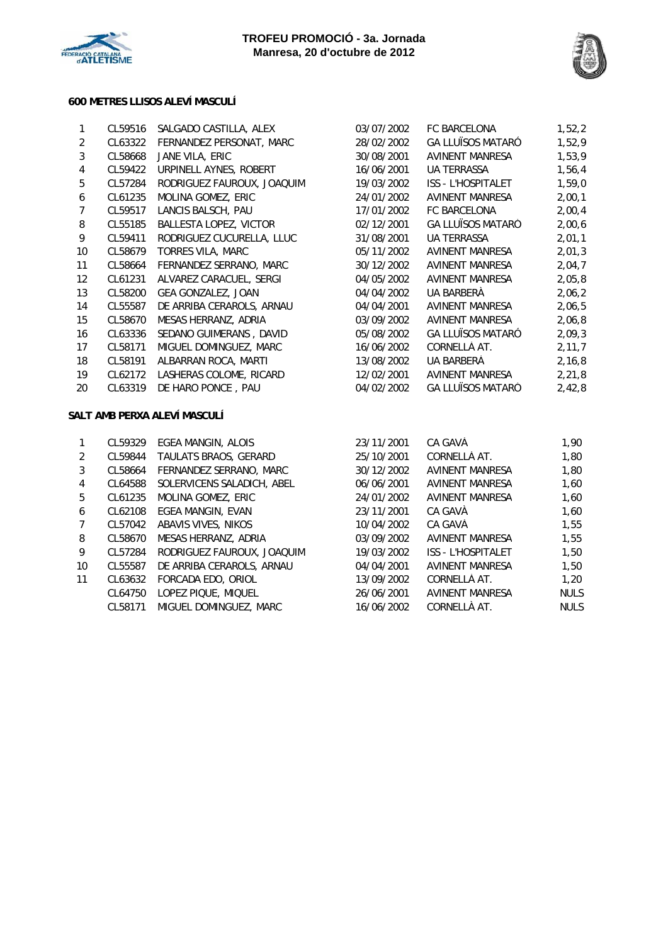



## **600 METRES LLISOS ALEVÍ MASCULÍ**

| 1                 | CL59516 | SALGADO CASTILLA, ALEX        | 03/07/2002 | <b>FC BARCELONA</b>       | 1,52,2   |
|-------------------|---------|-------------------------------|------------|---------------------------|----------|
| 2                 | CL63322 | FERNANDEZ PERSONAT, MARC      | 28/02/2002 | <b>GA LLUÏSOS MATARÓ</b>  | 1,52,9   |
| 3                 | CL58668 | JANE VILA, ERIC               | 30/08/2001 | AVINENT MANRESA           | 1,53,9   |
| 4                 | CL59422 | URPINELL AYNES, ROBERT        | 16/06/2001 | <b>UA TERRASSA</b>        | 1,56,4   |
| 5                 | CL57284 | RODRIGUEZ FAUROUX, JOAQUIM    | 19/03/2002 | <b>ISS - L'HOSPITALET</b> | 1,59,0   |
| 6                 | CL61235 | MOLINA GOMEZ, ERIC            | 24/01/2002 | <b>AVINENT MANRESA</b>    | 2,00,1   |
| 7                 | CL59517 | LANCIS BALSCH, PAU            | 17/01/2002 | <b>FC BARCELONA</b>       | 2,00,4   |
| 8                 | CL55185 | <b>BALLESTA LOPEZ, VICTOR</b> | 02/12/2001 | <b>GA LLUÏSOS MATARÓ</b>  | 2,00,6   |
| 9                 | CL59411 | RODRIGUEZ CUCURELLA, LLUC     | 31/08/2001 | <b>UA TERRASSA</b>        | 2,01,1   |
| 10                | CL58679 | TORRES VILA, MARC             | 05/11/2002 | AVINENT MANRESA           | 2,01,3   |
| 11                | CL58664 | FERNANDEZ SERRANO, MARC       | 30/12/2002 | AVINENT MANRESA           | 2,04,7   |
| $12 \overline{ }$ | CL61231 | ALVAREZ CARACUEL, SERGI       | 04/05/2002 | <b>AVINENT MANRESA</b>    | 2,05,8   |
| 13                | CL58200 | GEA GONZALEZ, JOAN            | 04/04/2002 | UA BARBERÀ                | 2,06,2   |
| 14                | CL55587 | DE ARRIBA CERAROLS, ARNAU     | 04/04/2001 | <b>AVINENT MANRESA</b>    | 2,06,5   |
| 15                | CL58670 | MESAS HERRANZ, ADRIA          | 03/09/2002 | <b>AVINENT MANRESA</b>    | 2,06,8   |
| 16                | CL63336 | SEDANO GUIMERANS, DAVID       | 05/08/2002 | <b>GA LLUÏSOS MATARÓ</b>  | 2,09,3   |
| 17                | CL58171 | MIGUEL DOMINGUEZ, MARC        | 16/06/2002 | CORNELLÀ AT.              | 2, 11, 7 |
| 18                | CL58191 | ALBARRAN ROCA, MARTI          | 13/08/2002 | UA BARBERÀ                | 2, 16, 8 |
| 19                | CL62172 | LASHERAS COLOME, RICARD       | 12/02/2001 | AVINENT MANRESA           | 2, 21, 8 |
| 20                | CL63319 | DE HARO PONCE, PAU            | 04/02/2002 | <b>GA LLUÏSOS MATARÓ</b>  | 2,42,8   |
|                   |         |                               |            |                           |          |

### **SALT AMB PERXA ALEVÍ MASCULÍ**

|    | CL59329 | EGEA MANGIN, ALOIS         | 23/11/2001 | CA GAVÀ                   | 1,90        |
|----|---------|----------------------------|------------|---------------------------|-------------|
| 2  | CL59844 | TAULATS BRAOS, GERARD      | 25/10/2001 | CORNELLÀ AT.              | 1,80        |
| 3  | CL58664 | FERNANDEZ SERRANO, MARC    | 30/12/2002 | AVINENT MANRESA           | 1,80        |
| 4  | CL64588 | SOLERVICENS SALADICH, ABEL | 06/06/2001 | AVINENT MANRESA           | 1,60        |
| 5. | CL61235 | <b>MOLINA GOMEZ, ERIC</b>  | 24/01/2002 | <b>AVINENT MANRESA</b>    | 1.60        |
| 6  | CL62108 | EGEA MANGIN, EVAN          | 23/11/2001 | CA GAVÀ                   | 1,60        |
|    | CL57042 | ABAVIS VIVES, NIKOS        | 10/04/2002 | CA GAVÀ                   | 1,55        |
| 8  | CL58670 | MESAS HERRANZ, ADRIA       | 03/09/2002 | AVINENT MANRESA           | 1,55        |
| 9  | CL57284 | RODRIGUEZ FAUROUX, JOAQUIM | 19/03/2002 | <b>ISS - L'HOSPITALET</b> | 1,50        |
| 10 | CL55587 | DE ARRIBA CERAROLS, ARNAU  | 04/04/2001 | <b>AVINENT MANRESA</b>    | 1,50        |
| 11 | CL63632 | FORCADA EDO, ORIOL         | 13/09/2002 | CORNELLÀ AT.              | 1.20        |
|    | CL64750 | LOPEZ PIQUE, MIQUEL        | 26/06/2001 | <b>AVINENT MANRESA</b>    | <b>NULS</b> |
|    | CL58171 | MIGUEL DOMINGUEZ, MARC     | 16/06/2002 | CORNELLÀ AT.              | <b>NULS</b> |
|    |         |                            |            |                           |             |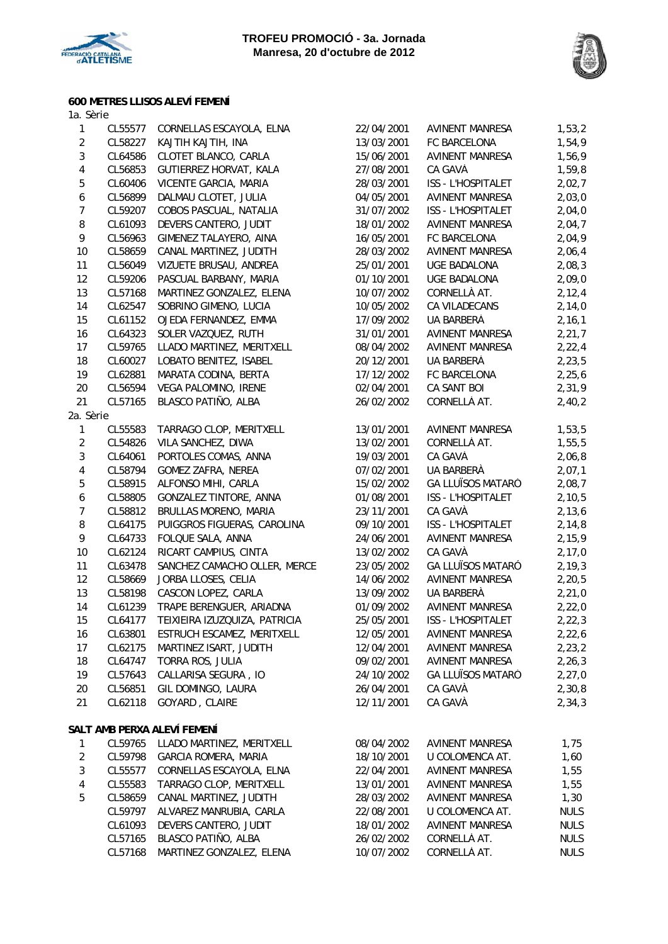



## **600 METRES LLISOS ALEVÍ FEMENÍ**

| 1a. Sèrie        |                    |                                                          |                          |                                                  |                     |
|------------------|--------------------|----------------------------------------------------------|--------------------------|--------------------------------------------------|---------------------|
| 1                | CL55577            | CORNELLAS ESCAYOLA, ELNA                                 | 22/04/2001               | <b>AVINENT MANRESA</b>                           | 1,53,2              |
| $\overline{2}$   | CL58227            | KAJTIH KAJTIH, INA                                       | 13/03/2001               | FC BARCELONA                                     | 1,54,9              |
| $\overline{3}$   | CL64586            | CLOTET BLANCO, CARLA                                     | 15/06/2001               | <b>AVINENT MANRESA</b>                           | 1,56,9              |
| $\overline{4}$   | CL56853            | GUTIERREZ HORVAT, KALA                                   | 27/08/2001               | CA GAVÀ                                          | 1,59,8              |
| 5                | CL60406            | VICENTE GARCIA, MARIA                                    | 28/03/2001               | ISS - L'HOSPITALET                               | 2,02,7              |
| $\boldsymbol{6}$ | CL56899            | DALMAU CLOTET, JULIA                                     | 04/05/2001               | AVINENT MANRESA                                  | 2,03,0              |
| $\overline{7}$   | CL59207            | COBOS PASCUAL, NATALIA                                   | 31/07/2002               | ISS - L'HOSPITALET                               | 2,04,0              |
| $\, 8$           | CL61093            | DEVERS CANTERO, JUDIT                                    | 18/01/2002               | <b>AVINENT MANRESA</b>                           | 2,04,7              |
| 9                | CL56963            | GIMENEZ TALAYERO, AINA                                   | 16/05/2001               | FC BARCELONA                                     | 2,04,9              |
| 10               | CL58659            | CANAL MARTINEZ, JUDITH                                   | 28/03/2002               | <b>AVINENT MANRESA</b>                           | 2,06,4              |
| 11               | CL56049            | VIZUETE BRUSAU, ANDREA                                   | 25/01/2001               | UGE BADALONA                                     | 2,08,3              |
| 12               | CL59206            | PASCUAL BARBANY, MARIA                                   | 01/10/2001               | <b>UGE BADALONA</b>                              | 2,09,0              |
| 13               | CL57168            | MARTINEZ GONZALEZ, ELENA                                 | 10/07/2002               | CORNELLÀ AT.                                     | 2, 12, 4            |
| 14               | CL62547            | SOBRINO GIMENO, LUCIA                                    | 10/05/2002               | CA VILADECANS                                    | 2,14,0              |
| 15               | CL61152            | OJEDA FERNANDEZ, EMMA                                    | 17/09/2002               | UA BARBERÀ                                       | 2, 16, 1            |
| 16               | CL64323            | SOLER VAZQUEZ, RUTH                                      | 31/01/2001               | AVINENT MANRESA                                  | 2,21,7              |
| 17               | CL59765            | LLADO MARTINEZ, MERITXELL                                | 08/04/2002               | AVINENT MANRESA                                  | 2, 22, 4            |
| 18               | CL60027            | LOBATO BENITEZ, ISABEL                                   | 20/12/2001               | UA BARBERÀ                                       | 2,23,5              |
| 19               | CL62881            | MARATA CODINA, BERTA                                     | 17/12/2002               | FC BARCELONA                                     | 2, 25, 6            |
| 20               | CL56594            | VEGA PALOMINO, IRENE                                     | 02/04/2001               | CA SANT BOI                                      | 2,31,9              |
| 21               | CL57165            | BLASCO PATIÑO, ALBA                                      | 26/02/2002               | CORNELLÀ AT.                                     | 2,40,2              |
| 2a. Sèrie        |                    |                                                          |                          |                                                  |                     |
| $\mathbf{1}$     | CL55583            | TARRAGO CLOP, MERITXELL                                  | 13/01/2001               | <b>AVINENT MANRESA</b>                           | 1,53,5              |
| $\overline{2}$   | CL54826            | VILA SANCHEZ, DIWA                                       | 13/02/2001               | CORNELLÀ AT.                                     | 1,55,5              |
| $\overline{3}$   | CL64061            | PORTOLES COMAS, ANNA                                     | 19/03/2001               | CA GAVÀ                                          | 2,06,8              |
| $\pmb{4}$        | CL58794            | GOMEZ ZAFRA, NEREA                                       | 07/02/2001               | UA BARBERÀ                                       | 2,07,1              |
| 5                | CL58915            | ALFONSO MIHI, CARLA                                      | 15/02/2002               | <b>GA LLUÏSOS MATARÓ</b>                         | 2,08,7              |
| $\boldsymbol{6}$ | CL58805            | GONZALEZ TINTORE, ANNA                                   | 01/08/2001               | ISS - L'HOSPITALET                               | 2, 10, 5            |
| $\boldsymbol{7}$ | CL58812            | BRULLAS MORENO, MARIA                                    | 23/11/2001               | CA GAVÀ                                          | 2,13,6              |
| $\, 8$           | CL64175            | PUIGGROS FIGUERAS, CAROLINA                              | 09/10/2001               | ISS - L'HOSPITALET                               | 2,14,8              |
| 9                | CL64733            | FOLQUE SALA, ANNA                                        | 24/06/2001               | AVINENT MANRESA                                  | 2,15,9              |
| 10               | CL62124            | RICART CAMPIUS, CINTA                                    | 13/02/2002               | CA GAVÀ                                          | 2,17,0              |
| 11               | CL63478            | SANCHEZ CAMACHO OLLER, MERCE                             | 23/05/2002               | <b>GA LLUÏSOS MATARÓ</b>                         | 2,19,3              |
| 12               | CL58669            | JORBA LLOSES, CELIA                                      | 14/06/2002               | <b>AVINENT MANRESA</b>                           | 2, 20, 5            |
| 13               | CL58198            | CASCON LOPEZ, CARLA                                      | 13/09/2002               | UA BARBERÀ                                       | 2,21,0              |
| 14               | CL61239            | TRAPE BERENGUER, ARIADNA                                 | 01/09/2002               | <b>AVINENT MANRESA</b>                           | 2,22,0              |
| 15               | CL64177            | TEIXIEIRA IZUZQUIZA, PATRICIA                            | 25/05/2001               | ISS - L'HOSPITALET                               | 2, 22, 3            |
| 16               | CL63801            | ESTRUCH ESCAMEZ, MERITXELL                               | 12/05/2001               | <b>AVINENT MANRESA</b>                           | 2,22,6              |
| 17               | CL62175            | MARTINEZ ISART, JUDITH                                   | 12/04/2001               | <b>AVINENT MANRESA</b>                           | 2, 23, 2            |
| 18               | CL64747            | TORRA ROS, JULIA                                         | 09/02/2001               | <b>AVINENT MANRESA</b>                           | 2,26,3              |
| 19               | CL57643            | CALLARISA SEGURA, IO                                     | 24/10/2002               | <b>GA LLUÏSOS MATARÓ</b>                         | 2, 27, 0            |
| 20               | CL56851            | GIL DOMINGO, LAURA                                       | 26/04/2001               | CA GAVÀ                                          | 2,30,8              |
| 21               | CL62118            | GOYARD, CLAIRE                                           | 12/11/2001               | CA GAVÀ                                          | 2,34,3              |
|                  |                    |                                                          |                          |                                                  |                     |
| 1                | CL59765            | SALT AMB PERXA ALEVÍ FEMENÍ<br>LLADO MARTINEZ, MERITXELL |                          | <b>AVINENT MANRESA</b>                           |                     |
| $\sqrt{2}$       |                    |                                                          | 08/04/2002               |                                                  | 1,75                |
| 3                | CL59798            | GARCIA ROMERA, MARIA<br>CORNELLAS ESCAYOLA, ELNA         | 18/10/2001               | U COLOMENCA AT.                                  | 1,60                |
|                  | CL55577            | TARRAGO CLOP, MERITXELL                                  | 22/04/2001<br>13/01/2001 | <b>AVINENT MANRESA</b><br><b>AVINENT MANRESA</b> | 1,55                |
| 4<br>5           | CL55583            | CANAL MARTINEZ, JUDITH                                   |                          | AVINENT MANRESA                                  | 1,55                |
|                  | CL58659<br>CL59797 | ALVAREZ MANRUBIA, CARLA                                  | 28/03/2002               | U COLOMENCA AT.                                  | 1,30<br><b>NULS</b> |
|                  |                    | DEVERS CANTERO, JUDIT                                    | 22/08/2001               | AVINENT MANRESA                                  | <b>NULS</b>         |
|                  | CL61093<br>CL57165 | BLASCO PATIÑO, ALBA                                      | 18/01/2002               | CORNELLÀ AT.                                     | <b>NULS</b>         |
|                  | CL57168            |                                                          | 26/02/2002<br>10/07/2002 | CORNELLÀ AT.                                     | <b>NULS</b>         |
|                  |                    | MARTINEZ GONZALEZ, ELENA                                 |                          |                                                  |                     |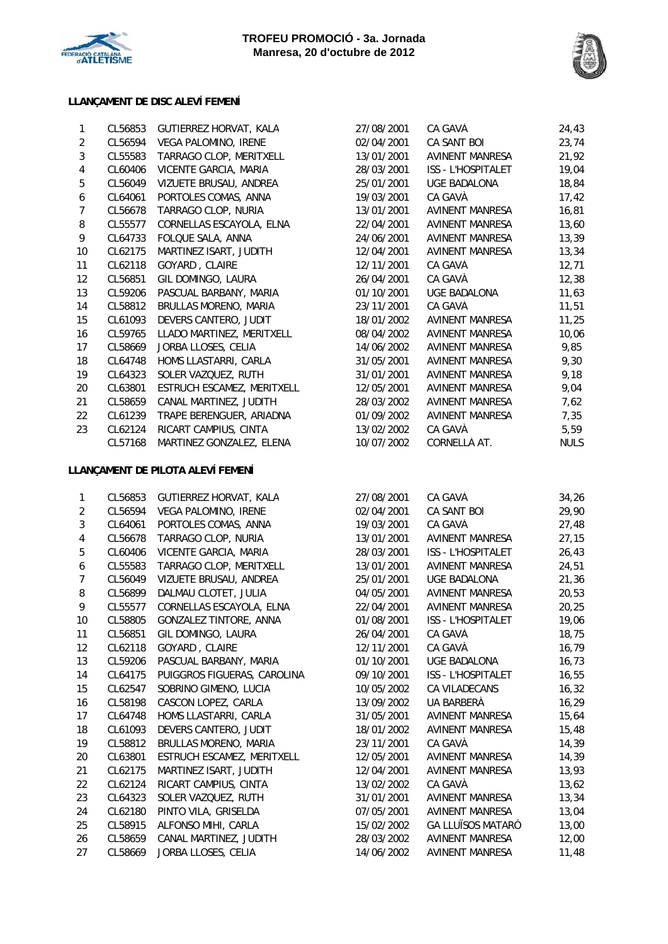



#### **LLANÇAMENT DE DISC ALEVÍ FEMENÍ**

| $\mathbf{1}$     | CL56853 | GUTIERREZ HORVAT, KALA            | 27/08/2001 | CA GAVÀ                | 24,43       |
|------------------|---------|-----------------------------------|------------|------------------------|-------------|
| $\overline{a}$   | CL56594 | VEGA PALOMINO, IRENE              | 02/04/2001 | CA SANT BOI            | 23,74       |
| $\mathbf{3}$     | CL55583 | TARRAGO CLOP, MERITXELL           | 13/01/2001 | AVINENT MANRESA        | 21,92       |
| $\overline{4}$   | CL60406 | VICENTE GARCIA, MARIA             | 28/03/2001 | ISS - L'HOSPITALET     | 19,04       |
| $\overline{5}$   | CL56049 | VIZUETE BRUSAU, ANDREA            | 25/01/2001 | UGE BADALONA           | 18,84       |
| $\boldsymbol{6}$ | CL64061 | PORTOLES COMAS, ANNA              | 19/03/2001 | CA GAVÀ                | 17,42       |
| $\boldsymbol{7}$ | CL56678 | TARRAGO CLOP, NURIA               | 13/01/2001 | AVINENT MANRESA        | 16,81       |
| 8                | CL55577 | CORNELLAS ESCAYOLA, ELNA          | 22/04/2001 | AVINENT MANRESA        | 13,60       |
| 9                | CL64733 | FOLQUE SALA, ANNA                 | 24/06/2001 | <b>AVINENT MANRESA</b> | 13,39       |
| 10               | CL62175 | MARTINEZ ISART, JUDITH            | 12/04/2001 | <b>AVINENT MANRESA</b> | 13,34       |
| 11               | CL62118 | GOYARD, CLAIRE                    | 12/11/2001 | CA GAVÀ                | 12,71       |
| 12               | CL56851 | GIL DOMINGO, LAURA                | 26/04/2001 | CA GAVÀ                | 12,38       |
| 13               | CL59206 | PASCUAL BARBANY, MARIA            | 01/10/2001 | UGE BADALONA           | 11,63       |
| 14               | CL58812 | BRULLAS MORENO, MARIA             | 23/11/2001 | CA GAVÀ                | 11,51       |
| 15               | CL61093 | DEVERS CANTERO, JUDIT             | 18/01/2002 | AVINENT MANRESA        | 11,25       |
| 16               | CL59765 | LLADO MARTINEZ, MERITXELL         | 08/04/2002 | AVINENT MANRESA        | 10,06       |
| 17               | CL58669 | JORBA LLOSES, CELIA               | 14/06/2002 | AVINENT MANRESA        | 9,85        |
| 18               | CL64748 | HOMS LLASTARRI, CARLA             | 31/05/2001 | AVINENT MANRESA        | 9,30        |
| 19               | CL64323 | SOLER VAZQUEZ, RUTH               | 31/01/2001 | <b>AVINENT MANRESA</b> | 9,18        |
| 20               | CL63801 | ESTRUCH ESCAMEZ, MERITXELL        | 12/05/2001 | <b>AVINENT MANRESA</b> | 9,04        |
| 21               | CL58659 | CANAL MARTINEZ, JUDITH            | 28/03/2002 | AVINENT MANRESA        | 7,62        |
| 22               | CL61239 | TRAPE BERENGUER, ARIADNA          | 01/09/2002 | AVINENT MANRESA        | 7,35        |
| 23               | CL62124 | RICART CAMPIUS, CINTA             | 13/02/2002 | CA GAVÀ                | 5,59        |
|                  | CL57168 | MARTINEZ GONZALEZ, ELENA          | 10/07/2002 | CORNELLÀ AT.           | <b>NULS</b> |
|                  |         | LLANÇAMENT DE PILOTA ALEVÍ FEMENÍ |            |                        |             |
| $\mathbf{1}$     | CL56853 | GUTIERREZ HORVAT, KALA            | 27/08/2001 | CA GAVA                | 34,26       |
| $\sqrt{2}$       | CL56594 | VEGA PALOMINO, IRENE              | 02/04/2001 | CA SANT BOI            | 29,90       |
| $\mathbf{3}$     | CL64061 | PORTOLES COMAS, ANNA              | 19/03/2001 | CA GAVÀ                | 27,48       |
| $\overline{4}$   | CL56678 | TARRAGO CLOP, NURIA               | 13/01/2001 | AVINENT MANRESA        | 27,15       |
| $\mathbf 5$      | CL60406 | VICENTE GARCIA, MARIA             | 28/03/2001 | ISS - L'HOSPITALET     | 26,43       |
| $\boldsymbol{6}$ | CL55583 | TARRAGO CLOP, MERITXELL           | 13/01/2001 | <b>AVINENT MANRESA</b> | 24,51       |
| $\boldsymbol{7}$ | CL56049 | VIZUETE BRUSAU, ANDREA            | 25/01/2001 | UGE BADALONA           | 21,36       |
| 8                | CL56899 | DALMAU CLOTET, JULIA              | 04/05/2001 | AVINENT MANRESA        | 20,53       |
| 9                | CL55577 | CORNELLAS ESCAYOLA, ELNA          | 22/04/2001 | AVINENT MANRESA        | 20,25       |
| 10               | CL58805 | GONZALEZ TINTORE, ANNA            | 01/08/2001 | ISS - L'HOSPITALET     | 19,06       |
| 11               | CL56851 | GIL DOMINGO, LAURA                | 26/04/2001 | CA GAVÀ                | 18,75       |
| 12               | CL62118 | GOYARD, CLAIRE                    | 12/11/2001 | CA GAVÀ                | 16,79       |
| 13               | CL59206 | PASCUAL BARBANY, MARIA            | 01/10/2001 | <b>UGE BADALONA</b>    | 16,73       |
| 14               | CL64175 | PUIGGROS FIGUERAS, CAROLINA       | 09/10/2001 | ISS - L'HOSPITALET     | 16,55       |
| 15               | CL62547 | SOBRINO GIMENO, LUCIA             | 10/05/2002 | CA VILADECANS          | 16, 32      |

16 CL58198 CASCON LOPEZ, CARLA 13/09/2002 UA BARBERÀ 16,29 17 CL64748 HOMS LLASTARRI, CARLA 31/05/2001 AVINENT MANRESA 15,64 18 CL61093 DEVERS CANTERO, JUDIT 18/01/2002 AVINENT MANRESA 15,48 19 CL58812 BRULLAS MORENO, MARIA 23/11/2001 CA GAVÀ 14,39 20 CL63801 ESTRUCH ESCAMEZ, MERITXELL 12/05/2001 AVINENT MANRESA 14,39 21 CL62175 MARTINEZ ISART, JUDITH 12/04/2001 AVINENT MANRESA 13,93 22 CL62124 RICART CAMPIUS, CINTA 13/02/2002 CA GAVÀ 13,62 23 CL64323 SOLER VAZQUEZ, RUTH 31/01/2001 AVINENT MANRESA 13,34 24 CL62180 PINTO VILA, GRISELDA 07/05/2001 AVINENT MANRESA 13,04 25 CL58915 ALFONSO MIHI, CARLA 15/02/2002 GA LLUÏSOS MATARÓ 13,00 26 CL58659 CANAL MARTINEZ, JUDITH 28/03/2002 AVINENT MANRESA 12,00 27 CL58669 JORBA LLOSES, CELIA 14/06/2002 AVINENT MANRESA 11,48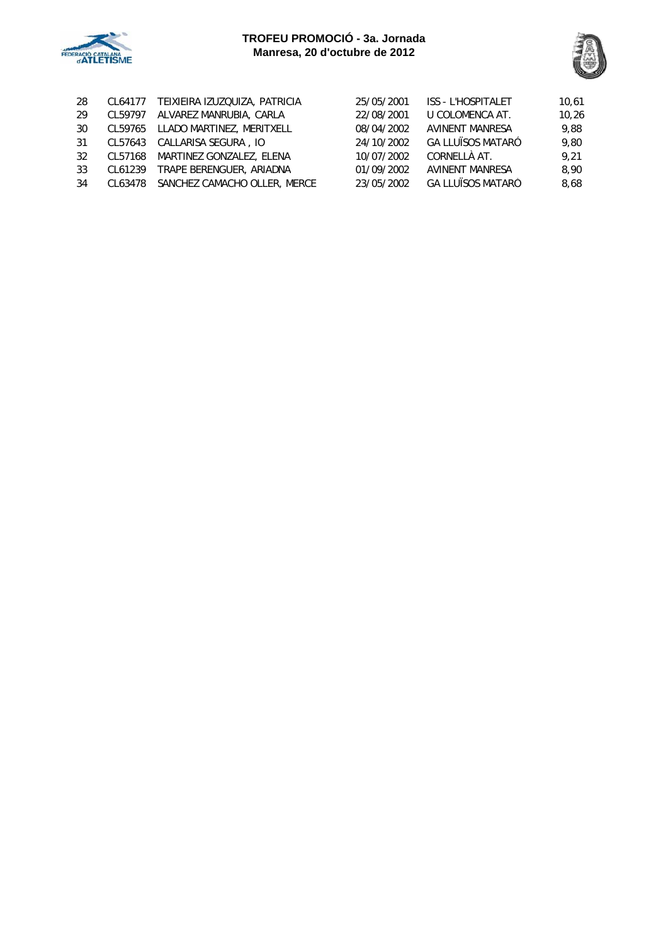



| 28 | CL64177 | TEIXIEIRA IZUZQUIZA, PATRICIA | 25/05/2001 | <b>ISS - L'HOSPITALET</b> | 10,61 |
|----|---------|-------------------------------|------------|---------------------------|-------|
| 29 | CL59797 | ALVAREZ MANRUBIA, CARLA       | 22/08/2001 | U COLOMENCA AT.           | 10,26 |
| 30 | CL59765 | LLADO MARTINEZ, MERITXELL     | 08/04/2002 | <b>AVINENT MANRESA</b>    | 9.88  |
| 31 | CL57643 | CALLARISA SEGURA, IO          | 24/10/2002 | <b>GA LLUÏSOS MATARÓ</b>  | 9.80  |
| 32 | CL57168 | MARTINEZ GONZALEZ, ELENA      | 10/07/2002 | CORNELLÀ AT.              | 9.21  |
| 33 | CL61239 | TRAPE BERENGUER, ARIADNA      | 01/09/2002 | <b>AVINENT MANRESA</b>    | 8,90  |
| 34 | CL63478 | SANCHEZ CAMACHO OLLER, MERCE  | 23/05/2002 | <b>GA LLUÏSOS MATARÓ</b>  | 8,68  |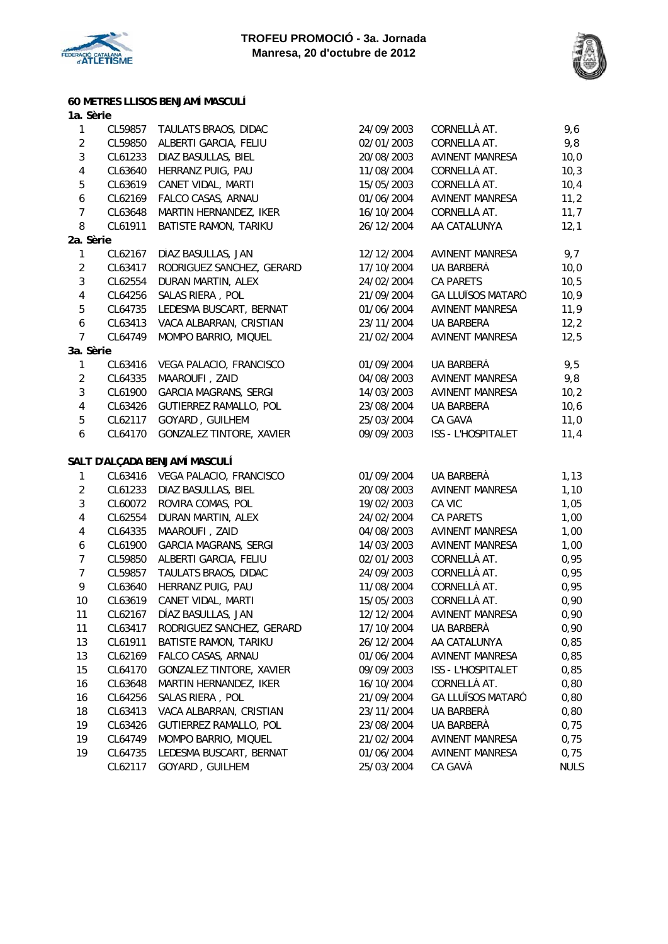



**60 METRES LLISOS BENJAMÍ MASCULÍ**

| 1a. Sèrie               |         |                                 |            |                          |             |
|-------------------------|---------|---------------------------------|------------|--------------------------|-------------|
| $\mathbf{1}$            | CL59857 | TAULATS BRAOS, DIDAC            | 24/09/2003 | CORNELLÀ AT.             | 9,6         |
| $\overline{2}$          | CL59850 | ALBERTI GARCIA, FELIU           | 02/01/2003 | CORNELLÀ AT.             | 9,8         |
| $\sqrt{3}$              | CL61233 | DIAZ BASULLAS, BIEL             | 20/08/2003 | <b>AVINENT MANRESA</b>   | 10,0        |
| $\overline{4}$          | CL63640 | HERRANZ PUIG, PAU               | 11/08/2004 | CORNELLÀ AT.             | 10,3        |
| $\mathbf 5$             | CL63619 | CANET VIDAL, MARTI              | 15/05/2003 | CORNELLÀ AT.             | 10,4        |
| $\boldsymbol{6}$        | CL62169 | FALCO CASAS, ARNAU              | 01/06/2004 | <b>AVINENT MANRESA</b>   | 11,2        |
| $\boldsymbol{7}$        | CL63648 | MARTIN HERNANDEZ, IKER          | 16/10/2004 | CORNELLÀ AT.             | 11,7        |
| 8                       | CL61911 | BATISTE RAMON, TARIKU           | 26/12/2004 | AA CATALUNYA             | 12,1        |
| 2a. Sèrie               |         |                                 |            |                          |             |
| $\mathbf{1}$            | CL62167 | DÍAZ BASULLAS, JAN              | 12/12/2004 | <b>AVINENT MANRESA</b>   | 9,7         |
| $\overline{c}$          | CL63417 | RODRIGUEZ SANCHEZ, GERARD       | 17/10/2004 | UA BARBERÀ               | 10,0        |
| $\sqrt{3}$              | CL62554 | DURAN MARTIN, ALEX              | 24/02/2004 | <b>CA PARETS</b>         | 10,5        |
| $\overline{\mathbf{4}}$ | CL64256 | SALAS RIERA, POL                | 21/09/2004 | <b>GA LLUÏSOS MATARÓ</b> | 10,9        |
| $\mathbf 5$             | CL64735 | LEDESMA BUSCART, BERNAT         | 01/06/2004 | <b>AVINENT MANRESA</b>   | 11,9        |
| $\boldsymbol{6}$        | CL63413 | VACA ALBARRAN, CRISTIAN         | 23/11/2004 | UA BARBERÀ               | 12,2        |
| $\overline{7}$          | CL64749 | MOMPO BARRIO, MIQUEL            | 21/02/2004 | <b>AVINENT MANRESA</b>   | 12,5        |
| 3a. Sèrie               |         |                                 |            |                          |             |
| $\mathbf{1}$            | CL63416 | VEGA PALACIO, FRANCISCO         | 01/09/2004 | UA BARBERÀ               | 9,5         |
| $\overline{2}$          | CL64335 | MAAROUFI, ZAID                  | 04/08/2003 | <b>AVINENT MANRESA</b>   | 9,8         |
| $\sqrt{3}$              | CL61900 | <b>GARCIA MAGRANS, SERGI</b>    | 14/03/2003 | <b>AVINENT MANRESA</b>   | 10,2        |
| $\overline{\mathbf{4}}$ | CL63426 | GUTIERREZ RAMALLO, POL          | 23/08/2004 | UA BARBERÀ               | 10,6        |
| $\mathbf 5$             | CL62117 | GOYARD, GUILHEM                 | 25/03/2004 | CA GAVÀ                  | 11,0        |
| $\boldsymbol{6}$        | CL64170 | <b>GONZALEZ TINTORE, XAVIER</b> | 09/09/2003 | ISS - L'HOSPITALET       | 11,4        |
|                         |         | SALT D'ALÇADA BENJAMÍ MASCULÍ   |            |                          |             |
| $\mathbf{1}$            |         | CL63416 VEGA PALACIO, FRANCISCO | 01/09/2004 | UA BARBERÀ               | 1,13        |
| $\overline{2}$          | CL61233 | DIAZ BASULLAS, BIEL             | 20/08/2003 | <b>AVINENT MANRESA</b>   | 1,10        |
| $\sqrt{3}$              | CL60072 | ROVIRA COMAS, POL               | 19/02/2003 | CA VIC                   | 1,05        |
| $\overline{\mathbf{4}}$ | CL62554 | DURAN MARTIN, ALEX              | 24/02/2004 | CA PARETS                | 1,00        |
| $\overline{4}$          | CL64335 | MAAROUFI, ZAID                  | 04/08/2003 | <b>AVINENT MANRESA</b>   | 1,00        |
| $\boldsymbol{6}$        | CL61900 | GARCIA MAGRANS, SERGI           | 14/03/2003 | <b>AVINENT MANRESA</b>   | 1,00        |
| $\boldsymbol{7}$        | CL59850 | ALBERTI GARCIA, FELIU           | 02/01/2003 | CORNELLÀ AT.             | 0,95        |
| $\boldsymbol{7}$        | CL59857 | TAULATS BRAOS, DIDAC            | 24/09/2003 | CORNELLÀ AT.             | 0,95        |
| 9                       | CL63640 | HERRANZ PUIG, PAU               | 11/08/2004 | CORNELLÀ AT.             | 0,95        |
| 10                      | CL63619 | CANET VIDAL, MARTI              | 15/05/2003 | CORNELLÀ AT.             | 0,90        |
| 11                      | CL62167 | DÍAZ BASULLAS, JAN              | 12/12/2004 | <b>AVINENT MANRESA</b>   | 0,90        |
| 11                      | CL63417 | RODRIGUEZ SANCHEZ, GERARD       | 17/10/2004 | UA BARBERÀ               | 0,90        |
| 13                      | CL61911 | <b>BATISTE RAMON, TARIKU</b>    | 26/12/2004 | AA CATALUNYA             | 0,85        |
| 13                      | CL62169 | FALCO CASAS, ARNAU              | 01/06/2004 | <b>AVINENT MANRESA</b>   | 0,85        |
| 15                      | CL64170 | GONZALEZ TINTORE, XAVIER        | 09/09/2003 | ISS - L'HOSPITALET       | 0,85        |
| 16                      | CL63648 | MARTIN HERNANDEZ, IKER          | 16/10/2004 | CORNELLÀ AT.             | 0,80        |
| 16                      | CL64256 | SALAS RIERA, POL                | 21/09/2004 | <b>GA LLUÏSOS MATARÓ</b> | 0,80        |
| 18                      | CL63413 | VACA ALBARRAN, CRISTIAN         | 23/11/2004 | UA BARBERÀ               | 0,80        |
| 19                      | CL63426 | GUTIERREZ RAMALLO, POL          | 23/08/2004 | UA BARBERÀ               | 0,75        |
| 19                      | CL64749 | MOMPO BARRIO, MIQUEL            | 21/02/2004 | <b>AVINENT MANRESA</b>   | 0,75        |
| 19                      | CL64735 | LEDESMA BUSCART, BERNAT         | 01/06/2004 | <b>AVINENT MANRESA</b>   | 0,75        |
|                         | CL62117 | GOYARD, GUILHEM                 | 25/03/2004 | CA GAVÀ                  | <b>NULS</b> |
|                         |         |                                 |            |                          |             |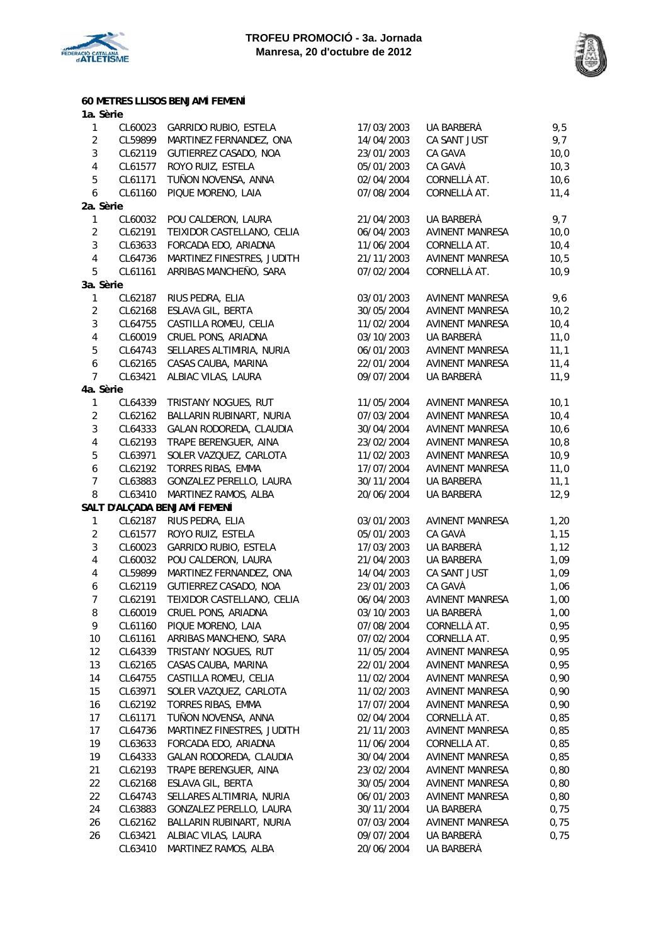



|                         |         | 60 METRES LLISOS BENJAMÍ FEMENÍ |            |                        |      |
|-------------------------|---------|---------------------------------|------------|------------------------|------|
| 1a. Sèrie               |         |                                 |            |                        |      |
| $\mathbf{1}$            | CL60023 | GARRIDO RUBIO, ESTELA           | 17/03/2003 | UA BARBERÀ             | 9,5  |
| $\overline{2}$          | CL59899 | MARTINEZ FERNANDEZ, ONA         | 14/04/2003 | CA SANT JUST           | 9,7  |
| $\mathbf{3}$            | CL62119 | GUTIERREZ CASADO, NOA           | 23/01/2003 | CA GAVÀ                | 10,0 |
| $\overline{\mathbf{4}}$ | CL61577 | ROYO RUIZ, ESTELA               | 05/01/2003 | CA GAVÀ                | 10,3 |
| 5                       | CL61171 | TUÑON NOVENSA, ANNA             | 02/04/2004 | CORNELLÀ AT.           | 10,6 |
| 6                       | CL61160 | PIQUE MORENO, LAIA              | 07/08/2004 | CORNELLÀ AT.           | 11,4 |
| 2a. Sèrie               |         |                                 |            |                        |      |
| $\mathbf{1}$            |         | CL60032 POU CALDERON, LAURA     | 21/04/2003 | UA BARBERÀ             | 9,7  |
| $\overline{2}$          | CL62191 | TEIXIDOR CASTELLANO, CELIA      | 06/04/2003 | <b>AVINENT MANRESA</b> | 10,0 |
| 3                       | CL63633 | FORCADA EDO, ARIADNA            | 11/06/2004 | CORNELLÀ AT.           | 10,4 |
| $\overline{4}$          | CL64736 | MARTINEZ FINESTRES, JUDITH      | 21/11/2003 | <b>AVINENT MANRESA</b> | 10,5 |
| 5                       | CL61161 | ARRIBAS MANCHEÑO, SARA          | 07/02/2004 | CORNELLÀ AT.           | 10,9 |
| 3a. Sèrie               |         |                                 |            |                        |      |
| 1                       | CL62187 | RIUS PEDRA, ELIA                | 03/01/2003 | AVINENT MANRESA        | 9,6  |
| $\overline{2}$          | CL62168 | ESLAVA GIL, BERTA               | 30/05/2004 | <b>AVINENT MANRESA</b> | 10,2 |
| 3                       | CL64755 | CASTILLA ROMEU, CELIA           | 11/02/2004 | <b>AVINENT MANRESA</b> | 10,4 |
| 4                       | CL60019 | CRUEL PONS, ARIADNA             | 03/10/2003 | UA BARBERÀ             | 11,0 |
| 5                       | CL64743 | SELLARES ALTIMIRIA, NURIA       | 06/01/2003 | <b>AVINENT MANRESA</b> | 11,1 |
| 6                       | CL62165 | CASAS CAUBA, MARINA             | 22/01/2004 | <b>AVINENT MANRESA</b> | 11,4 |
| $\overline{7}$          | CL63421 | ALBIAC VILAS, LAURA             | 09/07/2004 | UA BARBERÀ             | 11,9 |
|                         |         |                                 |            |                        |      |
| 4a. Sèrie               |         | CL64339 TRISTANY NOGUES, RUT    |            |                        |      |
| 1                       |         |                                 | 11/05/2004 | <b>AVINENT MANRESA</b> | 10,1 |
| $\overline{2}$          | CL62162 | BALLARIN RUBINART, NURIA        | 07/03/2004 | AVINENT MANRESA        | 10,4 |
| 3                       | CL64333 | GALAN RODOREDA, CLAUDIA         | 30/04/2004 | AVINENT MANRESA        | 10,6 |
| $\overline{\mathbf{4}}$ | CL62193 | TRAPE BERENGUER, AINA           | 23/02/2004 | <b>AVINENT MANRESA</b> | 10,8 |
| 5                       | CL63971 | SOLER VAZQUEZ, CARLOTA          | 11/02/2003 | <b>AVINENT MANRESA</b> | 10,9 |
| 6                       |         | CL62192 TORRES RIBAS, EMMA      | 17/07/2004 | <b>AVINENT MANRESA</b> | 11,0 |
| $\overline{7}$          | CL63883 | GONZALEZ PERELLO, LAURA         | 30/11/2004 | UA BARBERÀ             | 11,1 |
| 8                       | CL63410 | MARTINEZ RAMOS, ALBA            | 20/06/2004 | UA BARBERÀ             | 12,9 |
|                         |         | SALT D'ALÇADA BENJAMÍ FEMENÍ    |            |                        |      |
| 1                       | CL62187 | RIUS PEDRA, ELIA                | 03/01/2003 | <b>AVINENT MANRESA</b> | 1,20 |
| $\overline{2}$          | CL61577 | ROYO RUIZ, ESTELA               | 05/01/2003 | CA GAVÀ                | 1,15 |
| 3                       | CL60023 | GARRIDO RUBIO, ESTELA           | 17/03/2003 | UA BARBERÀ             | 1,12 |
| $\overline{\mathbf{4}}$ | CL60032 | POU CALDERON, LAURA             | 21/04/2003 | UA BARBERÀ             | 1,09 |
| 4                       | CL59899 | MARTINEZ FERNANDEZ, ONA         | 14/04/2003 | CA SANT JUST           | 1,09 |
| 6                       | CL62119 | GUTIERREZ CASADO, NOA           | 23/01/2003 | CA GAVÀ                | 1,06 |
| 7                       | CL62191 | TEIXIDOR CASTELLANO, CELIA      | 06/04/2003 | <b>AVINENT MANRESA</b> | 1,00 |
| 8                       | CL60019 | CRUEL PONS, ARIADNA             | 03/10/2003 | UA BARBERÀ             | 1,00 |
| 9                       | CL61160 | PIQUE MORENO, LAIA              | 07/08/2004 | CORNELLÀ AT.           | 0,95 |
| 10                      | CL61161 | ARRIBAS MANCHEÑO, SARA          | 07/02/2004 | CORNELLÀ AT.           | 0,95 |
| 12                      | CL64339 | TRISTANY NOGUES, RUT            | 11/05/2004 | <b>AVINENT MANRESA</b> | 0,95 |
| 13                      | CL62165 | CASAS CAUBA, MARINA             | 22/01/2004 | AVINENT MANRESA        | 0,95 |
| 14                      | CL64755 | CASTILLA ROMEU, CELIA           | 11/02/2004 | AVINENT MANRESA        | 0,90 |
| 15                      |         |                                 |            |                        |      |
|                         | CL63971 | SOLER VAZQUEZ, CARLOTA          | 11/02/2003 | AVINENT MANRESA        | 0,90 |
| 16                      | CL62192 | TORRES RIBAS, EMMA              | 17/07/2004 | <b>AVINENT MANRESA</b> | 0,90 |
| 17                      | CL61171 | TUÑON NOVENSA, ANNA             | 02/04/2004 | CORNELLÀ AT.           | 0,85 |
| 17                      | CL64736 | MARTINEZ FINESTRES, JUDITH      | 21/11/2003 | AVINENT MANRESA        | 0,85 |
| 19                      | CL63633 | FORCADA EDO, ARIADNA            | 11/06/2004 | CORNELLÀ AT.           | 0,85 |
| 19                      | CL64333 | GALAN RODOREDA, CLAUDIA         | 30/04/2004 | AVINENT MANRESA        | 0,85 |
| 21                      | CL62193 | TRAPE BERENGUER, AINA           | 23/02/2004 | AVINENT MANRESA        | 0,80 |
| 22                      | CL62168 | ESLAVA GIL, BERTA               | 30/05/2004 | AVINENT MANRESA        | 0,80 |
| 22                      | CL64743 | SELLARES ALTIMIRIA, NURIA       | 06/01/2003 | AVINENT MANRESA        | 0,80 |
| 24                      | CL63883 | GONZALEZ PERELLO, LAURA         | 30/11/2004 | UA BARBERÀ             | 0,75 |
| 26                      | CL62162 | BALLARIN RUBINART, NURIA        | 07/03/2004 | <b>AVINENT MANRESA</b> | 0,75 |
| 26                      | CL63421 | ALBIAC VILAS, LAURA             | 09/07/2004 | UA BARBERÀ             | 0,75 |
|                         | CL63410 | MARTINEZ RAMOS, ALBA            | 20/06/2004 | UA BARBERÀ             |      |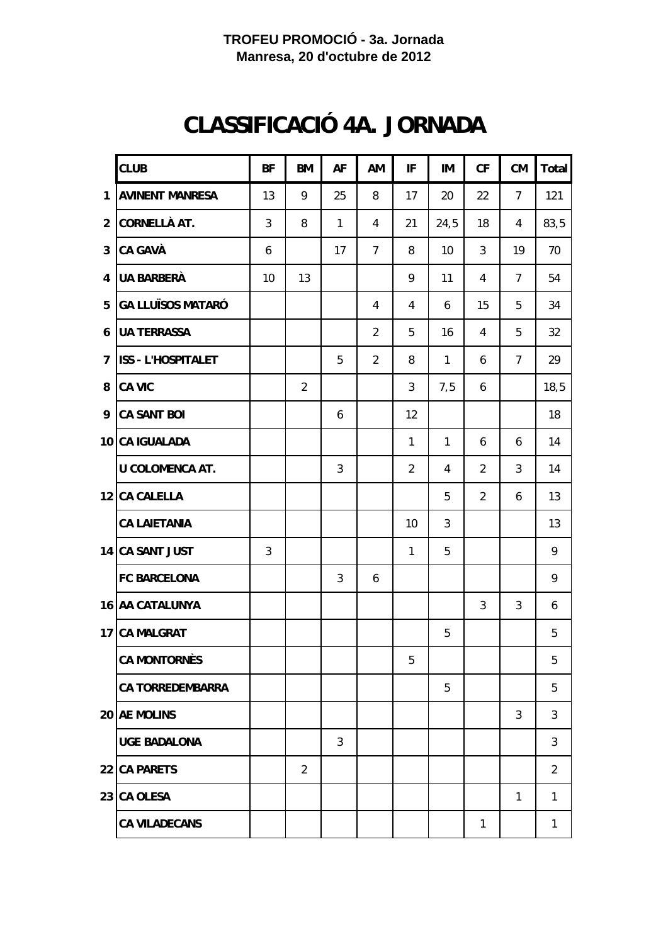# **CLASSIFICACIÓ 4A. JORNADA**

|                | <b>CLUB</b>               | <b>BF</b>    | <b>BM</b>      | AF           | AM             | IF             | IM           | CF             | <b>CM</b>      | Total        |
|----------------|---------------------------|--------------|----------------|--------------|----------------|----------------|--------------|----------------|----------------|--------------|
| 1              | <b>AVINENT MANRESA</b>    | 13           | 9              | 25           | 8              | 17             | 20           | 22             | $\overline{7}$ | 121          |
| $\overline{2}$ | CORNELLÀ AT.              | 3            | 8              | $\mathbf{1}$ | 4              | 21             | 24,5         | 18             | 4              | 83,5         |
| 3              | <b>CA GAVÀ</b>            | 6            |                | 17           | $\overline{7}$ | 8              | 10           | 3              | 19             | 70           |
| 4              | <b>UA BARBERÀ</b>         | 10           | 13             |              |                | 9              | 11           | 4              | $\overline{7}$ | 54           |
| 5              | <b>GA LLUÏSOS MATARÓ</b>  |              |                |              | 4              | 4              | 6            | 15             | 5              | 34           |
| 6              | <b>UA TERRASSA</b>        |              |                |              | $\overline{2}$ | 5              | 16           | 4              | 5              | 32           |
| $\overline{7}$ | <b>ISS - L'HOSPITALET</b> |              |                | 5            | $\overline{2}$ | 8              | $\mathbf{1}$ | 6              | $\overline{7}$ | 29           |
| 8              | <b>CA VIC</b>             |              | $\overline{2}$ |              |                | 3              | 7,5          | 6              |                | 18, 5        |
| 9              | <b>CA SANT BOI</b>        |              |                | 6            |                | 12             |              |                |                | 18           |
|                | 10 CA IGUALADA            |              |                |              |                | $\mathbf{1}$   | $\mathbf{1}$ | 6              | 6              | 14           |
|                | <b>U COLOMENCA AT.</b>    |              |                | 3            |                | $\overline{2}$ | 4            | $\overline{2}$ | 3              | 14           |
|                | 12 CA CALELLA             |              |                |              |                |                | 5            | $\overline{2}$ | 6              | 13           |
|                | <b>CA LAIETANIA</b>       |              |                |              |                | 10             | $\mathbf{3}$ |                |                | 13           |
|                | 14 CA SANT JUST           | $\mathbf{3}$ |                |              |                | $\mathbf{1}$   | 5            |                |                | 9            |
|                | <b>FC BARCELONA</b>       |              |                | 3            | 6              |                |              |                |                | 9            |
|                | 16 AA CATALUNYA           |              |                |              |                |                |              | 3              | $\mathbf{3}$   | 6            |
|                | 17 CA MALGRAT             |              |                |              |                |                | 5            |                |                | 5            |
|                | <b>CA MONTORNÈS</b>       |              |                |              |                | 5              |              |                |                | 5            |
|                | <b>CA TORREDEMBARRA</b>   |              |                |              |                |                | 5            |                |                | 5            |
|                | 20 AE MOLINS              |              |                |              |                |                |              |                | 3              | 3            |
|                | <b>UGE BADALONA</b>       |              |                | 3            |                |                |              |                |                | 3            |
|                | 22 CA PARETS              |              | 2              |              |                |                |              |                |                | 2            |
|                | 23 CA OLESA               |              |                |              |                |                |              |                | $\mathbf{1}$   | $\mathbf{1}$ |
|                | <b>CA VILADECANS</b>      |              |                |              |                |                |              | $\mathbf{1}$   |                | $\mathbf{1}$ |